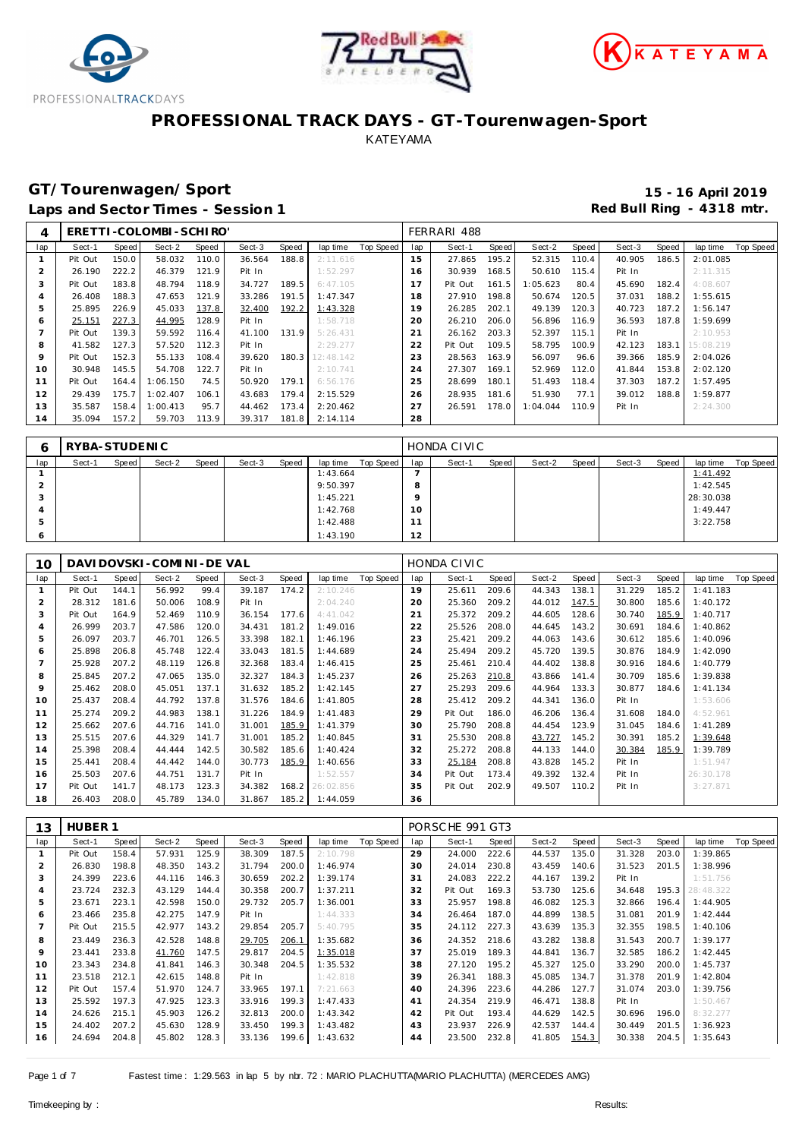





## **GT/Tourenwagen/Sport 15 - 16 April 2019**

Laps and Sector Times - Session 1 **Red Bull Ring - 4318 mtr. Red Bull Ring - 4318 mtr.** 

| 4   |         |       | ERETTI-COLOMBI-SCHIRO' |       |        |       |           |           |     | FERRARI 488 |       |          |       |        |       |           |           |
|-----|---------|-------|------------------------|-------|--------|-------|-----------|-----------|-----|-------------|-------|----------|-------|--------|-------|-----------|-----------|
| lap | Sect-1  | Speed | Sect-2                 | Speed | Sect-3 | Speed | lap time  | Top Speed | lap | Sect-1      | Speed | Sect-2   | Speed | Sect-3 | Speed | lap time  | Top Speed |
|     | Pit Out | 150.0 | 58.032                 | 110.0 | 36.564 | 188.8 | 2:11.616  |           | 15  | 27.865      | 195.2 | 52.315   | 110.4 | 40.905 | 186.5 | 2:01.085  |           |
|     | 26.190  | 222.2 | 46.379                 | 121.9 | Pit In |       | 1:52.297  |           | 16  | 30.939      | 168.5 | 50.610   | 115.4 | Pit In |       | 2: 11.315 |           |
| 3   | Pit Out | 183.8 | 48.794                 | 118.9 | 34.727 | 189.5 | 6:47.105  |           | 17  | Pit Out     | 161.5 | 1:05.623 | 80.4  | 45.690 | 182.4 | 4:08.607  |           |
|     | 26.408  | 188.3 | 47.653                 | 121.9 | 33.286 | 191.5 | 1:47.347  |           | 18  | 27.910      | 198.8 | 50.674   | 120.5 | 37.031 | 188.2 | 1:55.615  |           |
| 5   | 25.895  | 226.9 | 45.033                 | 137.8 | 32.400 | 192.2 | 1:43.328  |           | 19  | 26.285      | 202.1 | 49.139   | 120.3 | 40.723 | 187.2 | 1:56.147  |           |
| 6   | 25.151  | 227.3 | 44.995                 | 128.9 | Pit In |       | 1:58.718  |           | 20  | 26.210      | 206.0 | 56.896   | 116.9 | 36.593 | 187.8 | 1:59.699  |           |
|     | Pit Out | 139.3 | 59.592                 | 116.4 | 41.100 | 131.9 | 5:26.431  |           | 21  | 26.162      | 203.3 | 52.397   | 115.1 | Pit In |       | 2:10.953  |           |
| 8   | 41.582  | 127.3 | 57.520                 | 112.3 | Pit In |       | 2:29.277  |           | 22  | Pit Out     | 109.5 | 58.795   | 100.9 | 42.123 | 183.1 | 15:08.219 |           |
| 9   | Pit Out | 152.3 | 55.133                 | 108.4 | 39.620 | 180.3 | 12:48.142 |           | 23  | 28.563      | 163.9 | 56.097   | 96.6  | 39.366 | 185.9 | 2:04.026  |           |
| 10  | 30.948  | 145.5 | 54.708                 | 122.7 | Pit In |       | 2:10.741  |           | 24  | 27.307      | 169.1 | 52.969   | 112.0 | 41.844 | 153.8 | 2:02.120  |           |
| 11  | Pit Out | 164.4 | 1:06.150               | 74.5  | 50.920 | 179.1 | 6:56.176  |           | 25  | 28.699      | 180.1 | 51.493   | 118.4 | 37.303 | 187.2 | 1:57.495  |           |
| 12  | 29.439  | 175.7 | 1:02.407               | 106.1 | 43.683 | 179.4 | 2:15.529  |           | 26  | 28.935      | 181.6 | 51.930   | 77.1  | 39.012 | 188.8 | 1:59.877  |           |
| 13  | 35.587  | 158.4 | 1:00.413               | 95.7  | 44.462 | 173.4 | 2:20.462  |           | 27  | 26.591      | 178.0 | 1:04.044 | 110.9 | Pit In |       | 2:24.300  |           |
| 14  | 35.094  | 157.2 | 59.703                 | 113.9 | 39.317 | 181.8 | 2:14.114  |           | 28  |             |       |          |       |        |       |           |           |

|     | RYBA-STUDENIC |       |        |       |        |       |          |           |                 | HONDA CIVIC |       |        |       |        |       |           |           |
|-----|---------------|-------|--------|-------|--------|-------|----------|-----------|-----------------|-------------|-------|--------|-------|--------|-------|-----------|-----------|
| lap | Sect-1        | Speed | Sect-2 | Speed | Sect-3 | Speed | lap time | Top Speed | lap             | Sect-1      | Speed | Sect-2 | Speed | Sect-3 | Speed | lap time  | Top Speed |
|     |               |       |        |       |        |       | 1:43.664 |           |                 |             |       |        |       |        |       | 1:41.492  |           |
|     |               |       |        |       |        |       | 9:50.397 |           |                 |             |       |        |       |        |       | 1:42.545  |           |
|     |               |       |        |       |        |       | 1:45.221 |           |                 |             |       |        |       |        |       | 28:30.038 |           |
|     |               |       |        |       |        |       | 1:42.768 |           | 10 <sup>°</sup> |             |       |        |       |        |       | 1:49.447  |           |
|     |               |       |        |       |        |       | 1:42.488 |           | -               |             |       |        |       |        |       | 3:22.758  |           |
|     |               |       |        |       |        |       | 1:43.190 |           | 12<br>∠         |             |       |        |       |        |       |           |           |

| 10             |         |       | DAVI DOVSKI - COMI NI - DE VAL |       |        |       |           |           |     | HONDA CIVIC |       |        |       |        |       |           |           |
|----------------|---------|-------|--------------------------------|-------|--------|-------|-----------|-----------|-----|-------------|-------|--------|-------|--------|-------|-----------|-----------|
| lap            | Sect-1  | Speed | Sect-2                         | Speed | Sect-3 | Speed | lap time  | Top Speed | lap | Sect-1      | Speed | Sect-2 | Speed | Sect-3 | Speed | lap time  | Top Speed |
|                | Pit Out | 144.1 | 56.992                         | 99.4  | 39.187 | 174.2 | 2:10.246  |           | 19  | 25.611      | 209.6 | 44.343 | 138.1 | 31.229 | 185.2 | 1:41.183  |           |
| $\overline{2}$ | 28.312  | 181.6 | 50.006                         | 108.9 | Pit In |       | 2:04.240  |           | 20  | 25.360      | 209.2 | 44.012 | 147.5 | 30.800 | 185.6 | 1:40.172  |           |
| 3              | Pit Out | 164.9 | 52.469                         | 110.9 | 36.154 | 177.6 | 4:41.042  |           | 21  | 25.372      | 209.2 | 44.605 | 128.6 | 30.740 | 185.9 | 1:40.717  |           |
| 4              | 26.999  | 203.7 | 47.586                         | 120.0 | 34.431 | 181.2 | 1:49.016  |           | 22  | 25.526      | 208.0 | 44.645 | 143.2 | 30.691 | 184.6 | 1:40.862  |           |
| 5              | 26.097  | 203.7 | 46.701                         | 126.5 | 33.398 | 182.1 | 1:46.196  |           | 23  | 25.421      | 209.2 | 44.063 | 143.6 | 30.612 | 185.6 | 1:40.096  |           |
| 6              | 25.898  | 206.8 | 45.748                         | 122.4 | 33.043 | 181.5 | 1:44.689  |           | 24  | 25.494      | 209.2 | 45.720 | 139.5 | 30.876 | 184.9 | 1:42.090  |           |
|                | 25.928  | 207.2 | 48.119                         | 126.8 | 32.368 | 183.4 | 1:46.415  |           | 25  | 25.461      | 210.4 | 44.402 | 138.8 | 30.916 | 184.6 | 1:40.779  |           |
| 8              | 25.845  | 207.2 | 47.065                         | 135.0 | 32.327 | 184.3 | 1:45.237  |           | 26  | 25.263      | 210.8 | 43.866 | 141.4 | 30.709 | 185.6 | 1:39.838  |           |
| 9              | 25.462  | 208.0 | 45.051                         | 137.1 | 31.632 | 185.2 | 1:42.145  |           | 27  | 25.293      | 209.6 | 44.964 | 133.3 | 30.877 | 184.6 | 1: 41.134 |           |
| 10             | 25.437  | 208.4 | 44.792                         | 137.8 | 31.576 | 184.6 | 1:41.805  |           | 28  | 25.412      | 209.2 | 44.341 | 136.0 | Pit In |       | 1:53.606  |           |
| 11             | 25.274  | 209.2 | 44.983                         | 138.1 | 31.226 | 184.9 | 1:41.483  |           | 29  | Pit Out     | 186.0 | 46.206 | 136.4 | 31.608 | 184.0 | 4:52.961  |           |
| 12             | 25.662  | 207.6 | 44.716                         | 141.0 | 31.001 | 185.9 | 1:41.379  |           | 30  | 25.790      | 208.8 | 44.454 | 123.9 | 31.045 | 184.6 | 1:41.289  |           |
| 13             | 25.515  | 207.6 | 44.329                         | 141.7 | 31.001 | 185.2 | 1:40.845  |           | 31  | 25.530      | 208.8 | 43.727 | 145.2 | 30.391 | 185.2 | 1:39.648  |           |
| 14             | 25.398  | 208.4 | 44.444                         | 142.5 | 30.582 | 185.6 | 1:40.424  |           | 32  | 25.272      | 208.8 | 44.133 | 144.0 | 30.384 | 185.9 | 1:39.789  |           |
| 15             | 25.441  | 208.4 | 44.442                         | 144.0 | 30.773 | 185.9 | 1:40.656  |           | 33  | 25.184      | 208.8 | 43.828 | 145.2 | Pit In |       | 1:51.947  |           |
| 16             | 25.503  | 207.6 | 44.751                         | 131.7 | Pit In |       | 1:52.557  |           | 34  | Pit Out     | 173.4 | 49.392 | 132.4 | Pit In |       | 26:30.178 |           |
| 17             | Pit Out | 141.7 | 48.173                         | 123.3 | 34.382 | 168.2 | 26:02.856 |           | 35  | Pit Out     | 202.9 | 49.507 | 110.2 | Pit In |       | 3:27.871  |           |
| 18             | 26.403  | 208.0 | 45.789                         | 134.0 | 31.867 | 185.2 | 1:44.059  |           | 36  |             |       |        |       |        |       |           |           |

| 13             | HUBER <sub>1</sub> |       |        |       |        |       |          |           |     | PORSCHE 991 GT3 |       |        |       |        |       |           |           |
|----------------|--------------------|-------|--------|-------|--------|-------|----------|-----------|-----|-----------------|-------|--------|-------|--------|-------|-----------|-----------|
| lap            | Sect-1             | Speed | Sect-2 | Speed | Sect-3 | Speed | lap time | Top Speed | lap | Sect-1          | Speed | Sect-2 | Speed | Sect-3 | Speed | lap time  | Top Speed |
|                | Pit Out            | 158.4 | 57.931 | 125.9 | 38.309 | 187.5 | 2:10.798 |           | 29  | 24.000          | 222.6 | 44.537 | 135.0 | 31.328 | 203.0 | 1:39.865  |           |
| $\overline{2}$ | 26.830             | 198.8 | 48.350 | 143.2 | 31.794 | 200.0 | 1:46.974 |           | 30  | 24.014          | 230.8 | 43.459 | 140.6 | 31.523 | 201.5 | 1:38.996  |           |
| 3              | 24.399             | 223.6 | 44.116 | 146.3 | 30.659 | 202.2 | 1:39.174 |           | 31  | 24.083          | 222.2 | 44.167 | 139.2 | Pit In |       | 1:51.756  |           |
| 4              | 23.724             | 232.3 | 43.129 | 144.4 | 30.358 | 200.7 | 1:37.211 |           | 32  | Pit Out         | 169.3 | 53.730 | 125.6 | 34.648 | 195.3 | 28:48.322 |           |
| 5              | 23.671             | 223.1 | 42.598 | 150.0 | 29.732 | 205.7 | 1:36.001 |           | 33  | 25.957          | 198.8 | 46.082 | 125.3 | 32.866 | 196.4 | 1:44.905  |           |
| 6              | 23.466             | 235.8 | 42.275 | 147.9 | Pit In |       | 1:44.333 |           | 34  | 26.464          | 187.0 | 44.899 | 138.5 | 31.081 | 201.9 | 1:42.444  |           |
|                | Pit Out            | 215.5 | 42.977 | 143.2 | 29.854 | 205.7 | 5:40.795 |           | 35  | 24.112          | 227.3 | 43.639 | 135.3 | 32.355 | 198.5 | 1:40.106  |           |
| 8              | 23.449             | 236.3 | 42.528 | 148.8 | 29.705 | 206.1 | 1:35.682 |           | 36  | 24.352          | 218.6 | 43.282 | 138.8 | 31.543 | 200.7 | 1:39.177  |           |
| 9              | 23.441             | 233.8 | 41.760 | 147.5 | 29.817 | 204.5 | 1:35.018 |           | 37  | 25.019          | 189.3 | 44.841 | 136.7 | 32.585 | 186.2 | 1:42.445  |           |
| 10             | 23.343             | 234.8 | 41.841 | 146.3 | 30.348 | 204.5 | 1:35.532 |           | 38  | 27.120          | 195.2 | 45.327 | 125.0 | 33.290 | 200.0 | 1:45.737  |           |
| 11             | 23.518             | 212.1 | 42.615 | 148.8 | Pit In |       | 1:42.818 |           | 39  | 26.341          | 188.3 | 45.085 | 134.7 | 31.378 | 201.9 | 1:42.804  |           |
| 12             | Pit Out            | 157.4 | 51.970 | 124.7 | 33.965 | 197.1 | 7:21.663 |           | 40  | 24.396          | 223.6 | 44.286 | 127.7 | 31.074 | 203.0 | 1:39.756  |           |
| 13             | 25.592             | 197.3 | 47.925 | 123.3 | 33.916 | 199.3 | 1:47.433 |           | 41  | 24.354          | 219.9 | 46.471 | 138.8 | Pit In |       | 1:50.467  |           |
| 14             | 24.626             | 215.1 | 45.903 | 126.2 | 32.813 | 200.0 | 1:43.342 |           | 42  | Pit Out         | 193.4 | 44.629 | 142.5 | 30.696 | 196.0 | 8:32.277  |           |
| 15             | 24.402             | 207.2 | 45.630 | 128.9 | 33.450 | 199.3 | 1:43.482 |           | 43  | 23.937          | 226.9 | 42.537 | 144.4 | 30.449 | 201.5 | 1:36.923  |           |
| 16             | 24.694             | 204.8 | 45.802 | 128.3 | 33.136 | 199.6 | 1:43.632 |           | 44  | 23.500          | 232.8 | 41.805 | 154.3 | 30.338 | 204.5 | 1:35.643  |           |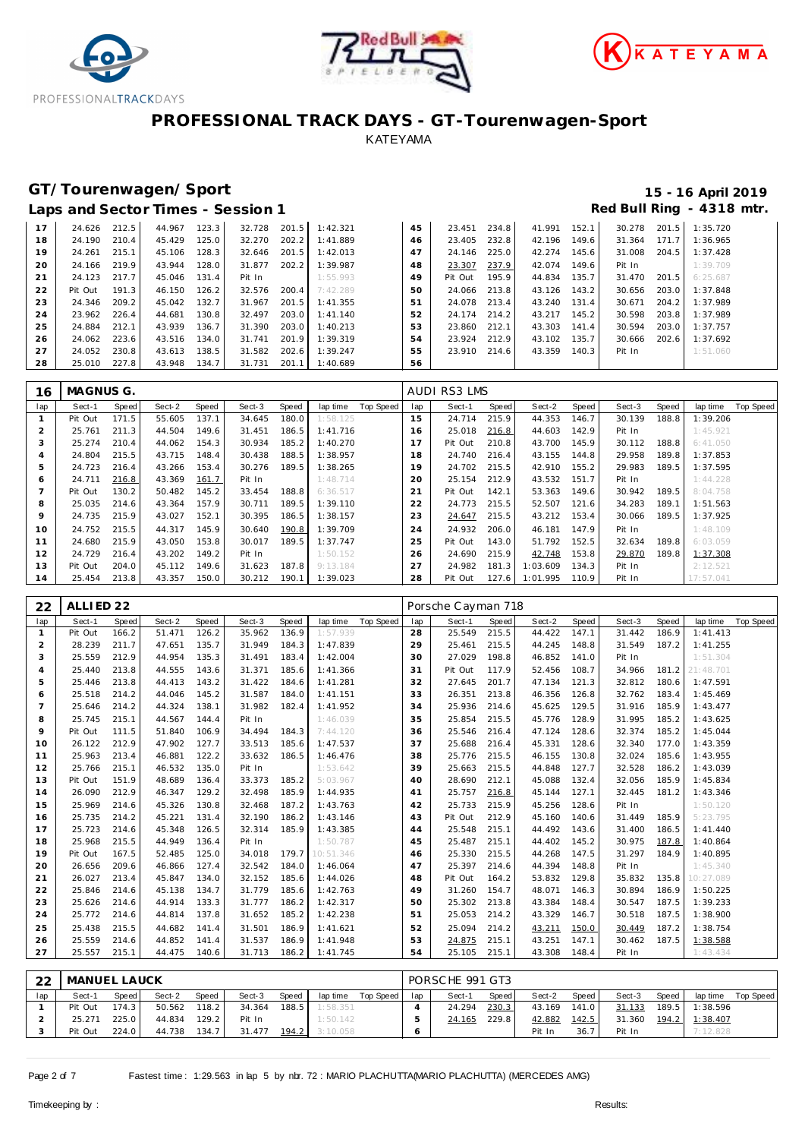





# GT/Tourenwagen/Sport<br>
Laps and Sector Times - Session 1 and Sector Times - Session 1

|    |         |       |        |       | Laps and Sector Times - Session 1 |       |          |    |         |       |        |       |        |       | Red Bull Ring - 4318 mtr. |
|----|---------|-------|--------|-------|-----------------------------------|-------|----------|----|---------|-------|--------|-------|--------|-------|---------------------------|
| 17 | 24.626  | 212.5 | 44.967 | 123.3 | 32.728                            | 201.5 | 1:42.321 | 45 | 23.451  | 234.8 | 41.991 | 152.1 | 30.278 | 201.5 | 1:35.720                  |
| 18 | 24.190  | 210.4 | 45.429 | 125.0 | 32.270                            | 202.2 | 1:41.889 | 46 | 23.405  | 232.8 | 42.196 | 149.6 | 31.364 | 171.7 | 1:36.965                  |
| 19 | 24.261  | 215.1 | 45.106 | 128.3 | 32.646                            | 201.5 | 1:42.013 | 47 | 24.146  | 225.0 | 42.274 | 145.6 | 31.008 | 204.5 | 1:37.428                  |
| 20 | 24.166  | 219.9 | 43.944 | 128.0 | 31.877                            | 202.2 | 1:39.987 | 48 | 23.307  | 237.9 | 42.074 | 149.6 | Pit In |       | 1:39.709                  |
| 21 | 24.123  | 217.7 | 45.046 | 131.4 | Pit In                            |       | 1:55.993 | 49 | Pit Out | 195.9 | 44.834 | 135.7 | 31.470 | 201.5 | 6:25.687                  |
| 22 | Pit Out | 191.3 | 46.150 | 126.2 | 32.576                            | 200.4 | 7:42.289 | 50 | 24.066  | 213.8 | 43.126 | 143.2 | 30.656 | 203.0 | 1:37.848                  |
| 23 | 24.346  | 209.2 | 45.042 | 132.7 | 31.967                            | 201.5 | 1:41.355 | 51 | 24.078  | 213.4 | 43.240 | 131.4 | 30.671 | 204.2 | 1:37.989                  |
| 24 | 23.962  | 226.4 | 44.681 | 130.8 | 32.497                            | 203.0 | 1:41.140 | 52 | 24.174  | 214.2 | 43.217 | 145.2 | 30.598 | 203.8 | 1:37.989                  |
| 25 | 24.884  | 212.1 | 43.939 | 136.7 | 31.390                            | 203.0 | 1:40.213 | 53 | 23.860  | 212.1 | 43.303 | 141.4 | 30.594 | 203.0 | 1:37.757                  |
| 26 | 24.062  | 223.6 | 43.516 | 134.0 | 31.741                            | 201.9 | 1:39.319 | 54 | 23.924  | 212.9 | 43.102 | 135.7 | 30.666 | 202.6 | 1:37.692                  |
| 27 | 24.052  | 230.8 | 43.613 | 138.5 | 31.582                            | 202.6 | 1:39.247 | 55 | 23.910  | 214.6 | 43.359 | 140.3 | Pit In |       | 1:51.060                  |
| 28 | 25.010  | 227.8 | 43.948 | 134.7 | 31.731                            | 201.1 | 1:40.689 | 56 |         |       |        |       |        |       |                           |

| 16  | MAGNUS G. |       |        |       |        |       |          |           |     | AUDI RS3 LMS |       |                |       |        |       |           |           |
|-----|-----------|-------|--------|-------|--------|-------|----------|-----------|-----|--------------|-------|----------------|-------|--------|-------|-----------|-----------|
| lap | Sect-1    | Speed | Sect-2 | Speed | Sect-3 | Speed | lap time | Top Speed | lap | Sect-1       | Speed | Sect-2         | Speed | Sect-3 | Speed | lap time  | Top Speed |
|     | Pit Out   | 171.5 | 55.605 | 137.1 | 34.645 | 180.0 | 1:58.125 |           | 15  | 24.714       | 215.9 | 44.353         | 146.7 | 30.139 | 188.8 | 1:39.206  |           |
|     | 25.761    | 211.3 | 44.504 | 149.6 | 31.451 | 186.5 | 1:41.716 |           | 16  | 25.018       | 216.8 | 44.603         | 142.9 | Pit In |       | 1:45.921  |           |
| 3   | 25.274    | 210.4 | 44.062 | 154.3 | 30.934 | 185.2 | 1:40.270 |           |     | Pit Out      | 210.8 | 43.700         | 145.9 | 30.112 | 188.8 | 6:41.050  |           |
| 4   | 24.804    | 215.5 | 43.715 | 148.4 | 30.438 | 188.5 | 1:38.957 |           | 18  | 24.740       | 216.4 | 43.155         | 144.8 | 29.958 | 189.8 | 1:37.853  |           |
| 5   | 24.723    | 216.4 | 43.266 | 153.4 | 30.276 | 189.5 | 1:38.265 |           | 19  | 24.702       | 215.5 | 42.910         | 155.2 | 29.983 | 189.5 | 1:37.595  |           |
| 6   | 24.711    | 216.8 | 43.369 | 161.7 | Pit In |       | 1:48.714 |           | 20  | 25.154       | 212.9 | 43.532         | 151.7 | Pit In |       | 1:44.228  |           |
|     | Pit Out   | 130.2 | 50.482 | 145.2 | 33.454 | 188.8 | 6:36.517 |           | 21  | Pit Out      | 142.1 | 53.363         | 149.6 | 30.942 | 189.5 | 8:04.758  |           |
| 8   | 25.035    | 214.6 | 43.364 | 157.9 | 30.711 | 189.5 | 1:39.110 |           | 22  | 24.773       | 215.5 | 52.507         | 121.6 | 34.283 | 189.1 | 1:51.563  |           |
| 9   | 24.735    | 215.9 | 43.027 | 152.1 | 30.395 | 186.5 | 1:38.157 |           | 23  | 24.647       | 215.5 | 43.212         | 153.4 | 30.066 | 189.5 | 1:37.925  |           |
| 10  | 24.752    | 215.5 | 44.317 | 145.9 | 30.640 | 190.8 | 1:39.709 |           | 24  | 24.932       | 206.0 | 46.181         | 147.9 | Pit In |       | 1:48.109  |           |
| 11  | 24.680    | 215.9 | 43.050 | 153.8 | 30.017 | 189.5 | 1:37.747 |           | 25  | Pit Out      | 143.0 | 51.792         | 152.5 | 32.634 | 189.8 | 6:03.059  |           |
| 12  | 24.729    | 216.4 | 43.202 | 149.2 | Pit In |       | 1:50.152 |           | 26  | 24.690       | 215.9 | 42.748         | 153.8 | 29.870 | 189.8 | 1:37.308  |           |
| 13  | Pit Out   | 204.0 | 45.112 | 149.6 | 31.623 | 187.8 | 9:13.184 |           | 27  | 24.982       | 181.3 | 1:03.609       | 134.3 | Pit In |       | 2:12.521  |           |
| 14  | 25.454    | 213.8 | 43.357 | 150.0 | 30.212 | 190.1 | 1:39.023 |           | 28  | Pit Out      |       | 127.6 1:01.995 | 110.9 | Pit In |       | 17:57.041 |           |

| 22             | ALLIED <sub>22</sub> |              |        |       |        |       |           |                  |                | Porsche Cayman 718 |       |        |       |        |       |           |                  |
|----------------|----------------------|--------------|--------|-------|--------|-------|-----------|------------------|----------------|--------------------|-------|--------|-------|--------|-------|-----------|------------------|
| lap            | Sect-1               | <b>Speed</b> | Sect-2 | Speed | Sect-3 | Speed | lap time  | <b>Top Speed</b> | lap            | Sect-1             | Speed | Sect-2 | Speed | Sect-3 | Speed | lap time  | <b>Top Speed</b> |
| 1              | Pit Out              | 166.2        | 51.471 | 126.2 | 35.962 | 136.9 | 1:57.939  |                  | 28             | 25.549             | 215.5 | 44.422 | 147.1 | 31.442 | 186.9 | 1:41.413  |                  |
| $\overline{2}$ | 28.239               | 211.7        | 47.651 | 135.7 | 31.949 | 184.3 | 1:47.839  |                  | 29             | 25.461             | 215.5 | 44.245 | 148.8 | 31.549 | 187.2 | 1:41.255  |                  |
| 3              | 25.559               | 212.9        | 44.954 | 135.3 | 31.491 | 183.4 | 1:42.004  |                  | 30             | 27.029             | 198.8 | 46.852 | 141.0 | Pit In |       | 1:51.304  |                  |
| $\overline{4}$ | 25.440               | 213.8        | 44.555 | 143.6 | 31.371 | 185.6 | 1:41.366  |                  | 31             | Pit Out            | 117.9 | 52.456 | 108.7 | 34.966 | 181.2 | 21:48.701 |                  |
| 5              | 25.446               | 213.8        | 44.413 | 143.2 | 31.422 | 184.6 | 1:41.281  |                  | 32             | 27.645             | 201.7 | 47.134 | 121.3 | 32.812 | 180.6 | 1:47.591  |                  |
| 6              | 25.518               | 214.2        | 44.046 | 145.2 | 31.587 | 184.0 | 1:41.151  |                  | 33             | 26.351             | 213.8 | 46.356 | 126.8 | 32.762 | 183.4 | 1:45.469  |                  |
| $\overline{7}$ | 25.646               | 214.2        | 44.324 | 138.1 | 31.982 | 182.4 | 1:41.952  |                  | 34             | 25.936             | 214.6 | 45.625 | 129.5 | 31.916 | 185.9 | 1:43.477  |                  |
| 8              | 25.745               | 215.1        | 44.567 | 144.4 | Pit In |       | 1:46.039  |                  | 35             | 25.854             | 215.5 | 45.776 | 128.9 | 31.995 | 185.2 | 1:43.625  |                  |
| 9              | Pit Out              | 111.5        | 51.840 | 106.9 | 34.494 | 184.3 | 7:44.120  |                  | 36             | 25.546             | 216.4 | 47.124 | 128.6 | 32.374 | 185.2 | 1:45.044  |                  |
| 10             | 26.122               | 212.9        | 47.902 | 127.7 | 33.513 | 185.6 | 1:47.537  |                  | 37             | 25.688             | 216.4 | 45.331 | 128.6 | 32.340 | 177.0 | 1:43.359  |                  |
| 11             | 25.963               | 213.4        | 46.881 | 122.2 | 33.632 | 186.5 | 1:46.476  |                  | 38             | 25.776             | 215.5 | 46.155 | 130.8 | 32.024 | 185.6 | 1:43.955  |                  |
| 12             | 25.766               | 215.1        | 46.532 | 135.0 | Pit In |       | 1:53.642  |                  | 39             | 25.663             | 215.5 | 44.848 | 127.7 | 32.528 | 186.2 | 1:43.039  |                  |
| 13             | Pit Out              | 151.9        | 48.689 | 136.4 | 33.373 | 185.2 | 5:03.967  |                  | 40             | 28.690             | 212.1 | 45.088 | 132.4 | 32.056 | 185.9 | 1:45.834  |                  |
| 14             | 26.090               | 212.9        | 46.347 | 129.2 | 32.498 | 185.9 | 1:44.935  |                  | 41             | 25.757             | 216.8 | 45.144 | 127.1 | 32.445 | 181.2 | 1:43.346  |                  |
| 15             | 25.969               | 214.6        | 45.326 | 130.8 | 32.468 | 187.2 | 1:43.763  |                  | 42             | 25.733             | 215.9 | 45.256 | 128.6 | Pit In |       | 1:50.120  |                  |
| 16             | 25.735               | 214.2        | 45.221 | 131.4 | 32.190 | 186.2 | 1:43.146  |                  | 43             | Pit Out            | 212.9 | 45.160 | 140.6 | 31.449 | 185.9 | 5:23.795  |                  |
| 17             | 25.723               | 214.6        | 45.348 | 126.5 | 32.314 | 185.9 | 1:43.385  |                  | 44             | 25.548             | 215.1 | 44.492 | 143.6 | 31.400 | 186.5 | 1:41.440  |                  |
| 18             | 25.968               | 215.5        | 44.949 | 136.4 | Pit In |       | 1:50.787  |                  | 45             | 25.487             | 215.1 | 44.402 | 145.2 | 30.975 | 187.8 | 1:40.864  |                  |
| 19             | Pit Out              | 167.5        | 52.485 | 125.0 | 34.018 | 179.7 | 10:51.346 |                  | 46             | 25.330             | 215.5 | 44.268 | 147.5 | 31.297 | 184.9 | 1:40.895  |                  |
| 20             | 26.656               | 209.6        | 46.866 | 127.4 | 32.542 | 184.0 | 1:46.064  |                  | 47             | 25.397             | 214.6 | 44.394 | 148.8 | Pit In |       | 1:45.340  |                  |
| 21             | 26.027               | 213.4        | 45.847 | 134.0 | 32.152 | 185.6 | 1:44.026  |                  | 48             | Pit Out            | 164.2 | 53.832 | 129.8 | 35.832 | 135.8 | 10:27.089 |                  |
| 22             | 25.846               | 214.6        | 45.138 | 134.7 | 31.779 | 185.6 | 1:42.763  |                  | 49             | 31.260             | 154.7 | 48.071 | 146.3 | 30.894 | 186.9 | 1:50.225  |                  |
| 23             | 25.626               | 214.6        | 44.914 | 133.3 | 31.777 | 186.2 | 1:42.317  |                  | 50             | 25.302             | 213.8 | 43.384 | 148.4 | 30.547 | 187.5 | 1:39.233  |                  |
| 24             | 25.772               | 214.6        | 44.814 | 137.8 | 31.652 | 185.2 | 1:42.238  |                  | 51             | 25.053             | 214.2 | 43.329 | 146.7 | 30.518 | 187.5 | 1:38.900  |                  |
| 25             | 25.438               | 215.5        | 44.682 | 141.4 | 31.501 | 186.9 | 1:41.621  |                  | 52             | 25.094             | 214.2 | 43.211 | 150.0 | 30.449 | 187.2 | 1:38.754  |                  |
| 26             | 25.559               | 214.6        | 44.852 | 141.4 | 31.537 | 186.9 | 1:41.948  |                  | 53             | 24.875             | 215.1 | 43.251 | 147.1 | 30.462 | 187.5 | 1:38.588  |                  |
| 27             | 25.557               | 215.1        | 44.475 | 140.6 | 31.713 | 186.2 | 1:41.745  |                  | 54             | 25.105             | 215.1 | 43.308 | 148.4 | Pit In |       | 1:43.434  |                  |
|                |                      |              |        |       |        |       |           |                  |                |                    |       |        |       |        |       |           |                  |
| 22             | MANUEL LAUCK         |              |        |       |        |       |           |                  |                | PORSCHE 991 GT3    |       |        |       |        |       |           |                  |
| lap            | Sect-1               | Speed        | Sect-2 | Speed | Sect-3 | Speed | lap time  | Top Speed        | lap            | Sect-1             | Speed | Sect-2 | Speed | Sect-3 | Speed | lap time  | Top Speed        |
| 1              | Pit Out              | 174.3        | 50.562 | 118.2 | 34.364 | 188.5 | 1:58.351  |                  | $\overline{4}$ | 24.294             | 230.3 | 43.169 | 141.0 | 31.133 | 189.5 | 1:38.596  |                  |
| $\overline{2}$ | 25.271               | 225.0        | 44.834 | 129.2 | Pit In |       | 1:50.142  |                  | 5              | 24.165             | 229.8 | 42.882 | 142.5 | 31.360 | 194.2 | 1:38.407  |                  |
| 3              | Pit Out              | 224.0        | 44.738 | 134.7 | 31.477 | 194.2 | 3:10.058  |                  | 6              |                    |       | Pit In | 36.7  | Pit In |       | 7:12.828  |                  |

Page 2 of 7 Fastest time: 1:29.563 in lap 5 by nbr. 72 : MARIO PLACHUTTA(MARIO PLACHUTTA) (MERCEDES AMG)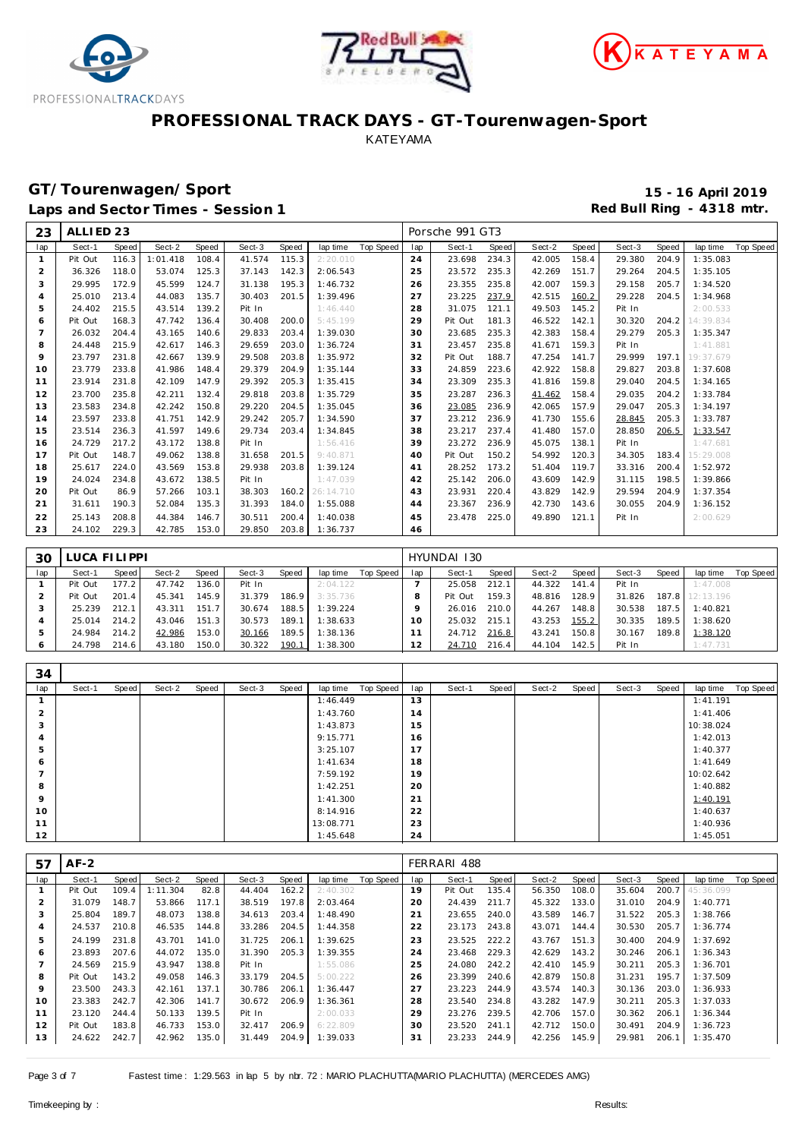





## **GT/Tourenwagen/Sport 15 - 16 April 2019**

Laps and Sector Times - Session 1 **Red Bull Ring - 4318 mtr. Red Bull Ring - 4318 mtr.** 

| 23             | ALLIED <sub>23</sub> |       |          |       |        |       |                 |           |     | Porsche 991 GT3 |       |        |       |        |       |           |           |
|----------------|----------------------|-------|----------|-------|--------|-------|-----------------|-----------|-----|-----------------|-------|--------|-------|--------|-------|-----------|-----------|
| lap            | Sect-1               | Speed | Sect-2   | Speed | Sect-3 | Speed | lap time        | Top Speed | lap | Sect-1          | Speed | Sect-2 | Speed | Sect-3 | Speed | lap time  | Top Speed |
| $\mathbf{1}$   | Pit Out              | 116.3 | 1:01.418 | 108.4 | 41.574 | 115.3 | 2:20.010        |           | 24  | 23.698          | 234.3 | 42.005 | 158.4 | 29.380 | 204.9 | 1:35.083  |           |
| $\overline{2}$ | 36.326               | 118.0 | 53.074   | 125.3 | 37.143 | 142.3 | 2:06.543        |           | 25  | 23.572          | 235.3 | 42.269 | 151.7 | 29.264 | 204.5 | 1:35.105  |           |
| 3              | 29.995               | 172.9 | 45.599   | 124.7 | 31.138 | 195.3 | 1:46.732        |           | 26  | 23.355          | 235.8 | 42.007 | 159.3 | 29.158 | 205.7 | 1:34.520  |           |
| $\overline{4}$ | 25.010               | 213.4 | 44.083   | 135.7 | 30.403 | 201.5 | 1:39.496        |           | 27  | 23.225          | 237.9 | 42.515 | 160.2 | 29.228 | 204.5 | 1:34.968  |           |
| 5              | 24.402               | 215.5 | 43.514   | 139.2 | Pit In |       | 1:46.440        |           | 28  | 31.075          | 121.1 | 49.503 | 145.2 | Pit In |       | 2:00.533  |           |
| 6              | Pit Out              | 168.3 | 47.742   | 136.4 | 30.408 | 200.0 | 5:45.199        |           | 29  | Pit Out         | 181.3 | 46.522 | 142.1 | 30.320 | 204.2 | 14:39.834 |           |
| $\overline{ }$ | 26.032               | 204.4 | 43.165   | 140.6 | 29.833 | 203.4 | 1:39.030        |           | 30  | 23.685          | 235.3 | 42.383 | 158.4 | 29.279 | 205.3 | 1:35.347  |           |
| 8              | 24.448               | 215.9 | 42.617   | 146.3 | 29.659 | 203.0 | 1:36.724        |           | 31  | 23.457          | 235.8 | 41.671 | 159.3 | Pit In |       | 1:41.881  |           |
| 9              | 23.797               | 231.8 | 42.667   | 139.9 | 29.508 | 203.8 | 1:35.972        |           | 32  | Pit Out         | 188.7 | 47.254 | 141.7 | 29.999 | 197.1 | 19:37.679 |           |
| 10             | 23.779               | 233.8 | 41.986   | 148.4 | 29.379 | 204.9 | 1:35.144        |           | 33  | 24.859          | 223.6 | 42.922 | 158.8 | 29.827 | 203.8 | 1:37.608  |           |
| 11             | 23.914               | 231.8 | 42.109   | 147.9 | 29.392 | 205.3 | 1:35.415        |           | 34  | 23.309          | 235.3 | 41.816 | 159.8 | 29.040 | 204.5 | 1:34.165  |           |
| 12             | 23.700               | 235.8 | 42.211   | 132.4 | 29.818 | 203.8 | 1:35.729        |           | 35  | 23.287          | 236.3 | 41.462 | 158.4 | 29.035 | 204.2 | 1:33.784  |           |
| 13             | 23.583               | 234.8 | 42.242   | 150.8 | 29.220 | 204.5 | 1:35.045        |           | 36  | 23.085          | 236.9 | 42.065 | 157.9 | 29.047 | 205.3 | 1:34.197  |           |
| 14             | 23.597               | 233.8 | 41.751   | 142.9 | 29.242 | 205.7 | 1:34.590        |           | 37  | 23.212          | 236.9 | 41.730 | 155.6 | 28.845 | 205.3 | 1:33.787  |           |
| 15             | 23.514               | 236.3 | 41.597   | 149.6 | 29.734 | 203.4 | 1:34.845        |           | 38  | 23.217          | 237.4 | 41.480 | 157.0 | 28.850 | 206.5 | 1:33.547  |           |
| 16             | 24.729               | 217.2 | 43.172   | 138.8 | Pit In |       | 1:56.416        |           | 39  | 23.272          | 236.9 | 45.075 | 138.1 | Pit In |       | 1:47.681  |           |
| 17             | Pit Out              | 148.7 | 49.062   | 138.8 | 31.658 | 201.5 | 9:40.871        |           | 40  | Pit Out         | 150.2 | 54.992 | 120.3 | 34.305 | 183.4 | 15:29.008 |           |
| 18             | 25.617               | 224.0 | 43.569   | 153.8 | 29.938 | 203.8 | 1:39.124        |           | 41  | 28.252          | 173.2 | 51.404 | 119.7 | 33.316 | 200.4 | 1:52.972  |           |
| 19             | 24.024               | 234.8 | 43.672   | 138.5 | Pit In |       | 1:47.039        |           | 42  | 25.142          | 206.0 | 43.609 | 142.9 | 31.115 | 198.5 | 1:39.866  |           |
| 20             | Pit Out              | 86.9  | 57.266   | 103.1 | 38.303 |       | 160.2 26:14.710 |           | 43  | 23.931          | 220.4 | 43.829 | 142.9 | 29.594 | 204.9 | 1:37.354  |           |
| 21             | 31.611               | 190.3 | 52.084   | 135.3 | 31.393 | 184.0 | 1:55.088        |           | 44  | 23.367          | 236.9 | 42.730 | 143.6 | 30.055 | 204.9 | 1:36.152  |           |
| 22             | 25.143               | 208.8 | 44.384   | 146.7 | 30.511 | 200.4 | 1:40.038        |           | 45  | 23.478          | 225.0 | 49.890 | 121.1 | Pit In |       | 2:00.629  |           |
| 23             | 24.102               | 229.3 | 42.785   | 153.0 | 29.850 | 203.8 | 1:36.737        |           | 46  |                 |       |        |       |        |       |           |           |

| 30  | LUCA FILIPPI |       |        |       |        |       |          |           |     | HYUNDAI 130 |       |        |       |        |       |                 |           |
|-----|--------------|-------|--------|-------|--------|-------|----------|-----------|-----|-------------|-------|--------|-------|--------|-------|-----------------|-----------|
| lap | Sect-1       | Speed | Sect-2 | Speed | Sect-3 | Speed | lap time | Top Speed | lap | Sect-1      | Speed | Sect-2 | Speed | Sect-3 | Speed | lap time        | Top Speed |
|     | Pit Out      | 177.2 | 47.742 | 136.0 | Pit In |       | 2:04.122 |           |     | 25.058      | 212.1 | 44.322 | 141.4 | Pit In |       | 1:47.008        |           |
|     | Pit Out      | 201.4 | 45.341 | 145.9 | 31.379 | 186.9 | 3:35.736 |           |     | Pit Out     | 159.3 | 48.816 | 128.9 | 31.826 |       | 187.8 12:13.196 |           |
|     | 25.239       | 212.1 | 43.311 | 151.7 | 30.674 | 188.5 | 1:39.224 |           |     | 26.016      | 210.0 | 44.267 | 148.8 | 30.538 | 187.5 | 1:40.821        |           |
|     | 25.014       | 214.2 | 43.046 | 151.3 | 30.573 | 189.1 | 1:38.633 |           | 10  | 25.032      | 215.1 | 43.253 | 155.2 | 30.335 | 189.5 | 1:38.620        |           |
|     | 24.984       | 214.2 | 42.986 | 153.0 | 30.166 | 189.5 | 1:38.136 |           |     | 24.712      | 216.8 | 43.241 | 150.8 | 30.167 | 189.8 | 1:38.120        |           |
|     | 24.798       | 214.6 | 43.180 | 150.0 | 30.322 | 190.1 | 1:38.300 |           |     | 24.710      | 216.4 | 44.104 | 142.5 | Pit In |       | 1:47.731        |           |

| 34             |        |       |        |       |        |       |           |           |     |        |       |        |       |        |       |           |           |
|----------------|--------|-------|--------|-------|--------|-------|-----------|-----------|-----|--------|-------|--------|-------|--------|-------|-----------|-----------|
| lap            | Sect-1 | Speed | Sect-2 | Speed | Sect-3 | Speed | lap time  | Top Speed | lap | Sect-1 | Speed | Sect-2 | Speed | Sect-3 | Speed | lap time  | Top Speed |
|                |        |       |        |       |        |       | 1:46.449  |           | 13  |        |       |        |       |        |       | 1:41.191  |           |
| $\overline{2}$ |        |       |        |       |        |       | 1:43.760  |           | 14  |        |       |        |       |        |       | 1:41.406  |           |
| 3              |        |       |        |       |        |       | 1:43.873  |           | 15  |        |       |        |       |        |       | 10:38.024 |           |
| 4              |        |       |        |       |        |       | 9:15.771  |           | 16  |        |       |        |       |        |       | 1:42.013  |           |
| 5              |        |       |        |       |        |       | 3:25.107  |           | 17  |        |       |        |       |        |       | 1:40.377  |           |
| 6              |        |       |        |       |        |       | 1:41.634  |           | 18  |        |       |        |       |        |       | 1:41.649  |           |
|                |        |       |        |       |        |       | 7:59.192  |           | 19  |        |       |        |       |        |       | 10:02.642 |           |
| 8              |        |       |        |       |        |       | 1:42.251  |           | 20  |        |       |        |       |        |       | 1:40.882  |           |
| 9              |        |       |        |       |        |       | 1:41.300  |           | 21  |        |       |        |       |        |       | 1:40.191  |           |
| 10             |        |       |        |       |        |       | 8:14.916  |           | 22  |        |       |        |       |        |       | 1:40.637  |           |
| 11             |        |       |        |       |        |       | 13:08.771 |           | 23  |        |       |        |       |        |       | 1:40.936  |           |
| 12             |        |       |        |       |        |       | 1:45.648  |           | 24  |        |       |        |       |        |       | 1:45.051  |           |

| 57             | $AF-2$  |       |          |       |        |       |          |           |     | FERRARI 488 |       |        |       |        |       |           |           |
|----------------|---------|-------|----------|-------|--------|-------|----------|-----------|-----|-------------|-------|--------|-------|--------|-------|-----------|-----------|
| lap            | Sect-1  | Speed | Sect-2   | Speed | Sect-3 | Speed | lap time | Top Speed | lap | Sect-1      | Speed | Sect-2 | Speed | Sect-3 | Speed | lap time  | Top Speed |
|                | Pit Out | 109.4 | 1:11.304 | 82.8  | 44.404 | 162.2 | 2:40.302 |           | 19  | Pit Out     | 135.4 | 56.350 | 108.0 | 35.604 | 200.7 | 45:36.099 |           |
| 2              | 31.079  | 148.7 | 53.866   | 117.1 | 38.519 | 197.8 | 2:03.464 |           | 20  | 24.439      | 211.7 | 45.322 | 133.0 | 31.010 | 204.9 | 1:40.771  |           |
| 3              | 25.804  | 189.7 | 48.073   | 138.8 | 34.613 | 203.4 | 1:48.490 |           | 21  | 23.655      | 240.0 | 43.589 | 146.7 | 31.522 | 205.3 | 1:38.766  |           |
| $\overline{4}$ | 24.537  | 210.8 | 46.535   | 144.8 | 33.286 | 204.5 | 1:44.358 |           | 22  | 23.173      | 243.8 | 43.071 | 144.4 | 30.530 | 205.7 | 1:36.774  |           |
| 5              | 24.199  | 231.8 | 43.701   | 141.0 | 31.725 | 206.1 | 1:39.625 |           | 23  | 23.525      | 222.2 | 43.767 | 151.3 | 30.400 | 204.9 | 1:37.692  |           |
| 6              | 23.893  | 207.6 | 44.072   | 135.0 | 31.390 | 205.3 | 1:39.355 |           | 24  | 23.468      | 229.3 | 42.629 | 143.2 | 30.246 | 206.1 | 1:36.343  |           |
|                | 24.569  | 215.9 | 43.947   | 138.8 | Pit In |       | 1:55.086 |           | 25  | 24.080      | 242.2 | 42.410 | 145.9 | 30.211 | 205.3 | 1:36.701  |           |
| 8              | Pit Out | 143.2 | 49.058   | 146.3 | 33.179 | 204.5 | 5:00.222 |           | 26  | 23.399      | 240.6 | 42.879 | 150.8 | 31.231 | 195.7 | 1:37.509  |           |
| 9              | 23.500  | 243.3 | 42.161   | 137.1 | 30.786 | 206.1 | 1:36.447 |           | 27  | 23.223      | 244.9 | 43.574 | 140.3 | 30.136 | 203.0 | 1:36.933  |           |
| 10             | 23.383  | 242.7 | 42.306   | 141.7 | 30.672 | 206.9 | 1:36.361 |           | 28  | 23.540      | 234.8 | 43.282 | 147.9 | 30.211 | 205.3 | 1:37.033  |           |
| 11             | 23.120  | 244.4 | 50.133   | 139.5 | Pit In |       | 2:00.033 |           | 29  | 23.276      | 239.5 | 42.706 | 157.0 | 30.362 | 206.1 | 1:36.344  |           |
| 12             | Pit Out | 183.8 | 46.733   | 153.0 | 32.417 | 206.9 | 6:22.809 |           | 30  | 23.520      | 241.1 | 42.712 | 150.0 | 30.491 | 204.9 | 1:36.723  |           |
| 13             | 24.622  | 242.7 | 42.962   | 135.0 | 31.449 | 204.9 | 1:39.033 |           | 31  | 23.233      | 244.9 | 42.256 | 145.9 | 29.981 | 206.1 | 1:35.470  |           |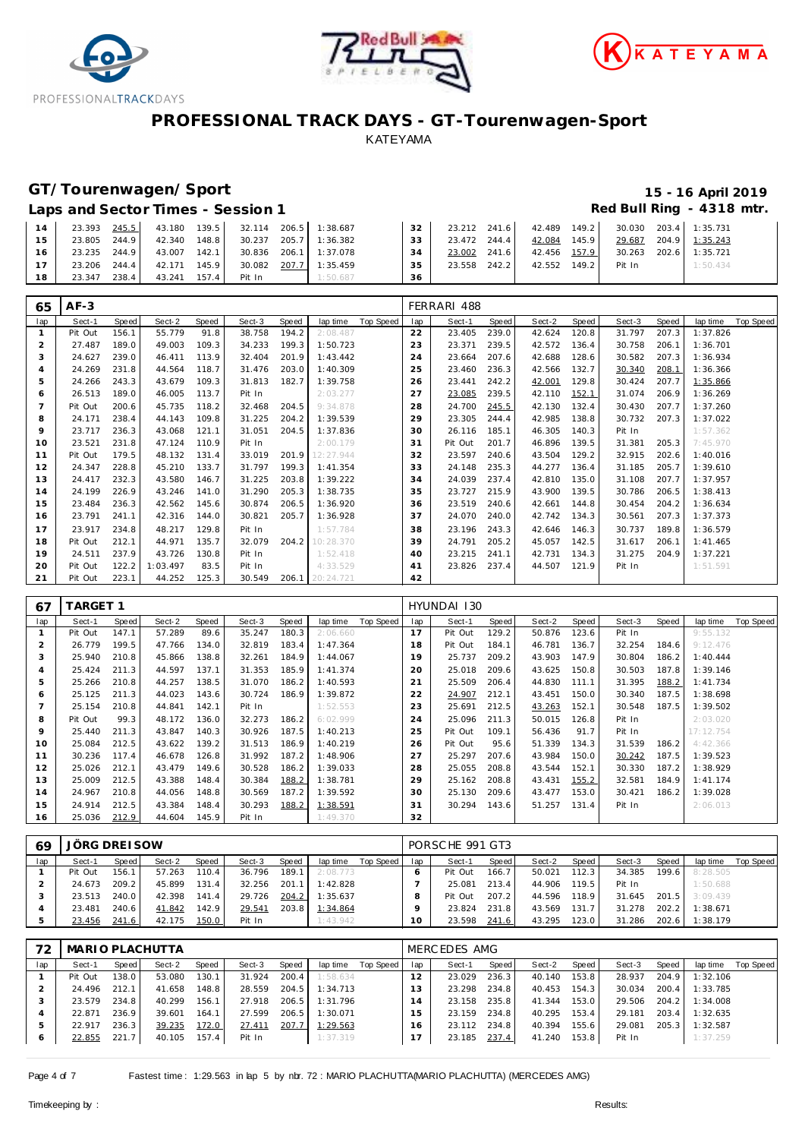





### **GT/Tourenwagen/Sport 15 - 16 April 2019**

Laps and Sector Times - Session 1 *Red Bull Ring - 4318 mtr.* 

| 14 | 23.393 245.5    |        |       | 43.180 139.5 32.114 206.5 1:38.687 |                       | 32  |              |       |              | 23.212 241.6 42.489 149.2 30.030 203.4 1:35.731 |                       |
|----|-----------------|--------|-------|------------------------------------|-----------------------|-----|--------------|-------|--------------|-------------------------------------------------|-----------------------|
| 15 | 23.805 244.9    | 42.340 | 148.8 |                                    | 30.237 205.7 1:36.382 | 33  | 23.472 244.4 |       | 42.084 145.9 |                                                 | 29.687 204.9 1:35.243 |
| 16 | 23.235 244.9    | 43.007 | 142.1 |                                    | 30.836 206.1 1:37.078 | -34 | 23.002       | 241.6 | 42.456 157.9 |                                                 | 30.263 202.6 1:35.721 |
|    | 23.206 244.4    | 42.171 | 145.9 |                                    | 30.082 207.7 1:35.459 | 35  | 23.558       | 242.2 | 42.552 149.2 | Pit In                                          | 1:50.434              |
| 18 | 238.4<br>23.347 | 43.241 | 157.4 | Pit In                             | 1:50.687              | 36  |              |       |              |                                                 |                       |

| 65             | $AF-3$  |       |          |       |        |       |                 |           |     | FERRARI 488 |       |        |       |        |       |          |           |
|----------------|---------|-------|----------|-------|--------|-------|-----------------|-----------|-----|-------------|-------|--------|-------|--------|-------|----------|-----------|
| lap            | Sect-1  | Speed | Sect-2   | Speed | Sect-3 | Speed | lap time        | Top Speed | lap | Sect-1      | Speed | Sect-2 | Speed | Sect-3 | Speed | lap time | Top Speed |
|                | Pit Out | 156.1 | 55.779   | 91.8  | 38.758 | 194.2 | 2:08.487        |           | 22  | 23.405      | 239.0 | 42.624 | 120.8 | 31.797 | 207.3 | 1:37.826 |           |
| $\overline{2}$ | 27.487  | 189.0 | 49.003   | 109.3 | 34.233 | 199.3 | 1:50.723        |           | 23  | 23.371      | 239.5 | 42.572 | 136.4 | 30.758 | 206.1 | 1:36.701 |           |
| 3              | 24.627  | 239.0 | 46.411   | 113.9 | 32.404 | 201.9 | 1:43.442        |           | 24  | 23.664      | 207.6 | 42.688 | 128.6 | 30.582 | 207.3 | 1:36.934 |           |
| $\overline{4}$ | 24.269  | 231.8 | 44.564   | 118.7 | 31.476 | 203.0 | 1:40.309        |           | 25  | 23.460      | 236.3 | 42.566 | 132.7 | 30.340 | 208.1 | 1:36.366 |           |
| 5              | 24.266  | 243.3 | 43.679   | 109.3 | 31.813 | 182.7 | 1:39.758        |           | 26  | 23.441      | 242.2 | 42.001 | 129.8 | 30.424 | 207.7 | 1:35.866 |           |
| 6              | 26.513  | 189.0 | 46.005   | 113.7 | Pit In |       | 2:03.277        |           | 27  | 23.085      | 239.5 | 42.110 | 152.1 | 31.074 | 206.9 | 1:36.269 |           |
|                | Pit Out | 200.6 | 45.735   | 118.2 | 32.468 | 204.5 | 9:34.878        |           | 28  | 24.700      | 245.5 | 42.130 | 132.4 | 30.430 | 207.7 | 1:37.260 |           |
| 8              | 24.171  | 238.4 | 44.143   | 109.8 | 31.225 | 204.2 | 1:39.539        |           | 29  | 23.305      | 244.4 | 42.985 | 138.8 | 30.732 | 207.3 | 1:37.022 |           |
| 9              | 23.717  | 236.3 | 43.068   | 121.1 | 31.051 | 204.5 | 1:37.836        |           | 30  | 26.116      | 185.1 | 46.305 | 140.3 | Pit In |       | 1:57.362 |           |
| 10             | 23.521  | 231.8 | 47.124   | 110.9 | Pit In |       | 2:00.179        |           | 31  | Pit Out     | 201.7 | 46.896 | 139.5 | 31.381 | 205.3 | 7:45.970 |           |
| 11             | Pit Out | 179.5 | 48.132   | 131.4 | 33.019 | 201.9 | 12:27.944       |           | 32  | 23.597      | 240.6 | 43.504 | 129.2 | 32.915 | 202.6 | 1:40.016 |           |
| 12             | 24.347  | 228.8 | 45.210   | 133.7 | 31.797 | 199.3 | 1:41.354        |           | 33  | 24.148      | 235.3 | 44.277 | 136.4 | 31.185 | 205.7 | 1:39.610 |           |
| 13             | 24.417  | 232.3 | 43.580   | 146.7 | 31.225 | 203.8 | 1:39.222        |           | 34  | 24.039      | 237.4 | 42.810 | 135.0 | 31.108 | 207.7 | 1:37.957 |           |
| 14             | 24.199  | 226.9 | 43.246   | 141.0 | 31.290 | 205.3 | 1:38.735        |           | 35  | 23.727      | 215.9 | 43.900 | 139.5 | 30.786 | 206.5 | 1:38.413 |           |
| 15             | 23.484  | 236.3 | 42.562   | 145.6 | 30.874 | 206.5 | 1:36.920        |           | 36  | 23.519      | 240.6 | 42.661 | 144.8 | 30.454 | 204.2 | 1:36.634 |           |
| 16             | 23.791  | 241.1 | 42.316   | 144.0 | 30.821 | 205.7 | 1:36.928        |           | 37  | 24.070      | 240.0 | 42.742 | 134.3 | 30.561 | 207.3 | 1:37.373 |           |
| 17             | 23.917  | 234.8 | 48.217   | 129.8 | Pit In |       | 1:57.784        |           | 38  | 23.196      | 243.3 | 42.646 | 146.3 | 30.737 | 189.8 | 1:36.579 |           |
| 18             | Pit Out | 212.1 | 44.971   | 135.7 | 32.079 | 204.2 | 10:28.370       |           | 39  | 24.791      | 205.2 | 45.057 | 142.5 | 31.617 | 206.1 | 1:41.465 |           |
| 19             | 24.511  | 237.9 | 43.726   | 130.8 | Pit In |       | 1:52.418        |           | 40  | 23.215      | 241.1 | 42.731 | 134.3 | 31.275 | 204.9 | 1:37.221 |           |
| 20             | Pit Out | 122.2 | 1:03.497 | 83.5  | Pit In |       | 4:33.529        |           | 41  | 23.826      | 237.4 | 44.507 | 121.9 | Pit In |       | 1:51.591 |           |
| 21             | Pit Out | 223.1 | 44.252   | 125.3 | 30.549 |       | 206.1 20:24.721 |           | 42  |             |       |        |       |        |       |          |           |

| 67  | <b>TARGET 1</b> |              |        |       |        |       |          |           |             | HYUNDAI 130 |       |        |       |        |       |           |           |
|-----|-----------------|--------------|--------|-------|--------|-------|----------|-----------|-------------|-------------|-------|--------|-------|--------|-------|-----------|-----------|
| lap | Sect-1          | <b>Speed</b> | Sect-2 | Speed | Sect-3 | Speed | lap time | Top Speed | lap         | Sect-1      | Speed | Sect-2 | Speed | Sect-3 | Speed | lap time  | Top Speed |
|     | Pit Out         | 147.1        | 57.289 | 89.6  | 35.247 | 180.3 | 2:06.660 |           | 17          | Pit Out     | 129.2 | 50.876 | 123.6 | Pit In |       | 9:55.132  |           |
|     | 26.779          | 199.5        | 47.766 | 134.0 | 32.819 | 183.4 | 1:47.364 |           | 18          | Pit Out     | 184.1 | 46.781 | 136.7 | 32.254 | 184.6 | 9:12.476  |           |
| 3   | 25.940          | 210.8        | 45.866 | 138.8 | 32.261 | 184.9 | 1:44.067 |           | 19          | 25.737      | 209.2 | 43.903 | 147.9 | 30.804 | 186.2 | 1:40.444  |           |
|     | 25.424          | 211.3        | 44.597 | 137.1 | 31.353 | 185.9 | 1:41.374 |           | 20          | 25.018      | 209.6 | 43.625 | 150.8 | 30.503 | 187.8 | 1:39.146  |           |
| 5   | 25.266          | 210.8        | 44.257 | 138.5 | 31.070 | 186.2 | 1:40.593 |           | $2^{\cdot}$ | 25.509      | 206.4 | 44.830 | 111.1 | 31.395 | 188.2 | 1:41.734  |           |
| 6   | 25.125          | 211.3        | 44.023 | 143.6 | 30.724 | 186.9 | 1:39.872 |           | 22          | 24.907      | 212.1 | 43.451 | 150.0 | 30.340 | 187.5 | 1:38.698  |           |
|     | 25.154          | 210.8        | 44.841 | 142.1 | Pit In |       | 1:52.553 |           | 23          | 25.691      | 212.5 | 43.263 | 152.1 | 30.548 | 187.5 | 1:39.502  |           |
| 8   | Pit Out         | 99.3         | 48.172 | 136.0 | 32.273 | 186.2 | 6:02.999 |           | 24          | 25.096      | 211.3 | 50.015 | 126.8 | Pit In |       | 2:03.020  |           |
| 9   | 25.440          | 211.3        | 43.847 | 140.3 | 30.926 | 187.5 | 1:40.213 |           | 25          | Pit Out     | 109.1 | 56.436 | 91.7  | Pit In |       | 17:12.754 |           |
| 10  | 25.084          | 212.5        | 43.622 | 139.2 | 31.513 | 186.9 | 1:40.219 |           | 26          | Pit Out     | 95.6  | 51.339 | 134.3 | 31.539 | 186.2 | 4:42.366  |           |
| 11  | 30.236          | 117.4        | 46.678 | 126.8 | 31.992 | 187.2 | 1:48.906 |           | 27          | 25.297      | 207.6 | 43.984 | 150.0 | 30.242 | 187.5 | 1:39.523  |           |
| 12  | 25.026          | 212.1        | 43.479 | 149.6 | 30.528 | 186.2 | 1:39.033 |           | 28          | 25.055      | 208.8 | 43.544 | 152.1 | 30.330 | 187.2 | 1:38.929  |           |
| 13  | 25.009          | 212.5        | 43.388 | 148.4 | 30.384 | 188.2 | 1:38.781 |           | 29          | 25.162      | 208.8 | 43.431 | 155.2 | 32.581 | 184.9 | 1:41.174  |           |
| 14  | 24.967          | 210.8        | 44.056 | 148.8 | 30.569 | 187.2 | 1:39.592 |           | 30          | 25.130      | 209.6 | 43.477 | 153.0 | 30.421 | 186.2 | 1:39.028  |           |
| 15  | 24.914          | 212.5        | 43.384 | 148.4 | 30.293 | 188.2 | 1:38.591 |           | 31          | 30.294      | 143.6 | 51.257 | 131.4 | Pit In |       | 2:06.013  |           |
| 16  | 25.036          | 212.9        | 44.604 | 145.9 | Pit In |       | 1:49.370 |           | 32          |             |       |        |       |        |       |           |           |

| 69  | JÖRG DREI SOW |       |        |       |        |       |          |           |     | PORSCHE 991 GT3 |       |        |        |        |       |          |           |
|-----|---------------|-------|--------|-------|--------|-------|----------|-----------|-----|-----------------|-------|--------|--------|--------|-------|----------|-----------|
| lap | Sect-1        | Speed | Sect-2 | Speed | Sect-3 | Speed | lap time | Top Speed | lap | Sect-1          | Speed | Sect-2 | Speed  | Sect-3 | Speed | lap time | Top Speed |
|     | Pit Out       | 156.1 | 57.263 | 110.4 | 36.796 | 189.1 | 2:08.773 |           |     | Pit Out         | 166.7 | 50.021 | 112.3  | 34.385 | 199.6 | 8:28.505 |           |
|     | 24.673        | 209.2 | 45.899 | 131.4 | 32.256 | 201.1 | 1:42.828 |           |     | 25.081          | 213.4 | 44.906 | 119.51 | Pit In |       | 1:50.688 |           |
|     | 23.513        | 240.0 | 42.398 | 141.4 | 29.726 | 204.2 | 1:35.637 |           |     | Pit Out         | 207.2 | 44.596 | 118.9  | 31.645 | 201.5 | 3:09.439 |           |
|     | 23.481        | 240.6 | 41.842 | 142.9 | 29.541 | 203.8 | 1:34.864 |           |     | 23.824          | 231.8 | 43.569 | 131.7  | 31.278 | 202.2 | 1:38.671 |           |
|     | 23.456        | 241.6 | 42.175 | 150.0 | Pit In |       | 1:43.942 |           |     | 23.598          | 241.6 | 43.295 | 123.0  | 31.286 | 202.6 | 1:38.179 |           |

| 72      | MARIO PLACHUTTA |       |        |       |        |       |          |           |     | MERCEDES AMG |       |        |       |        |       |          |           |
|---------|-----------------|-------|--------|-------|--------|-------|----------|-----------|-----|--------------|-------|--------|-------|--------|-------|----------|-----------|
| lap     | Sect-1          | Speed | Sect-2 | Speed | Sect-3 | Speed | lap time | Top Speed | lap | Sect-1       | Speed | Sect-2 | Speed | Sect-3 | Speed | lap time | Top Speed |
|         | Pit Out         | 138.0 | 53.080 | 130.1 | 31.924 | 200.4 | 1:58.634 |           |     | 23.029       | 236.3 | 40.140 | 153.8 | 28.937 | 204.9 | 1:32.106 |           |
|         | 24.496          | 212.1 | 41.658 | 148.8 | 28.559 | 204.5 | 1:34.713 |           | 13  | 23.298       | 234.8 | 40.453 | 154.3 | 30.034 | 200.4 | 1:33.785 |           |
|         | 23.579          | 234.8 | 40.299 | 156.1 | 27.918 | 206.5 | 1:31.796 |           | 14  | 23.158       | 235.8 | 41.344 | 153.0 | 29.506 | 204.2 | 1:34.008 |           |
|         | 22.871          | 236.9 | 39.601 | 164.1 | 27.599 | 206.5 | 1:30.071 |           | 15. | 23.159       | 234.8 | 40.295 | 153.4 | 29.181 | 203.4 | 1:32.635 |           |
|         | 22.917          | 236.3 | 39.235 | 172.0 | 27.411 | 207.7 | 1:29.563 |           | 16. | 23.112       | 234.8 | 40.394 | 155.6 | 29.081 | 205.3 | 1:32.587 |           |
| $\circ$ | 22.855          | 221.7 | 40.105 | 157.4 | Pit In |       | 1:37.319 |           |     | 23.185       | 237.4 | 41.240 | 153.8 | Pit In |       | 1:37.259 |           |

Page 4 of 7 Fastest time: 1:29.563 in lap 5 by nbr. 72 : MARIO PLACHUTTA(MARIO PLACHUTTA) (MERCEDES AMG)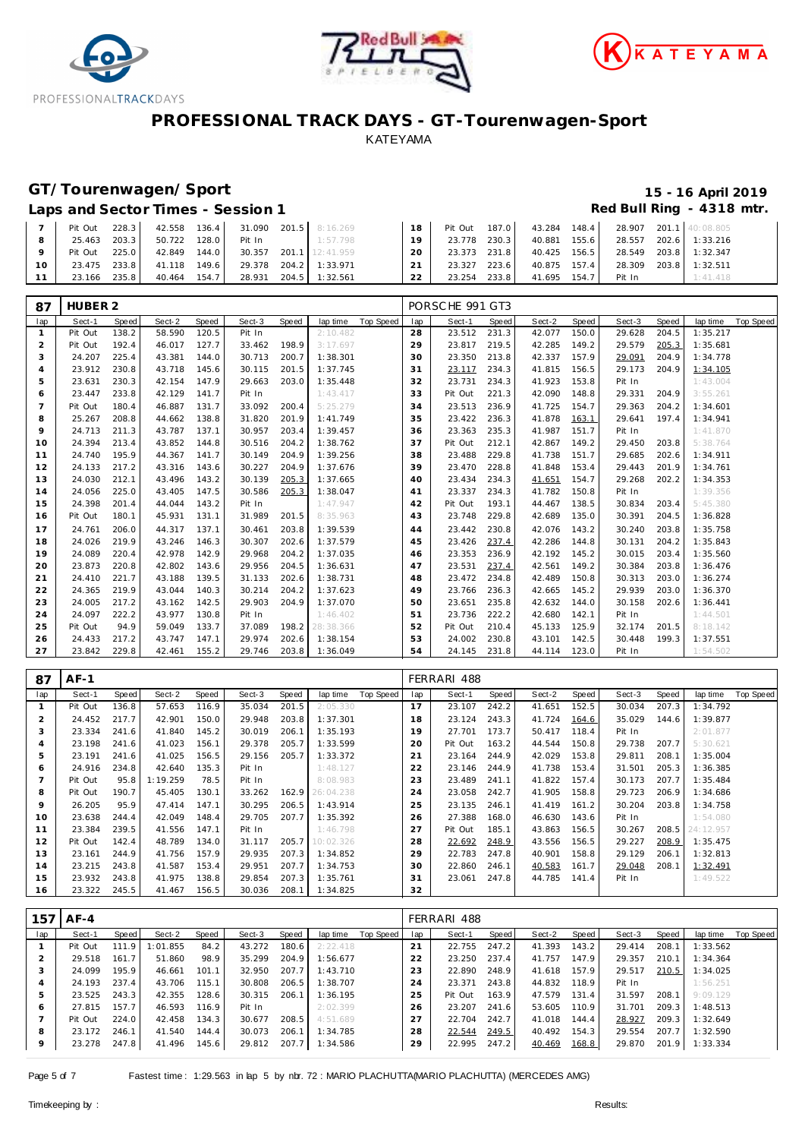





### **GT/Tourenwagen/Sport 15 - 16 April 2019**

#### Laps and Sector Times - Session 1 *Red Bull Ring - 4318 mtr.* **Red Bull Ring - 4318 mtr.**

| Pit Out       | 228.3 | 42.558 | 136.4 |        | 31.090 201.5 8:16.269  |        | Pit Out      | 187.0 | 43.284 148.4 |       |        | 28.907 201.1 40:08.805 |
|---------------|-------|--------|-------|--------|------------------------|--------|--------------|-------|--------------|-------|--------|------------------------|
| 25.463        | 203.3 | 50.722 | 128.0 | Pit In | 1:57.798               |        | 23.778       | 230.3 | 40.881       | 155.6 |        | 28.557 202.6 1:33.216  |
| Pit Out 225.0 |       | 42.849 | 144.0 |        | 30.357 201.1 12:41.959 | 20     | 23.373 231.8 |       | 40.425 156.5 |       |        | 28.549 203.8 1:32.347  |
| 23.475 233.8  |       | 41.118 | 149.6 |        | 29.378 204.2 1:33.971  | 21     | 23.327       | 223.6 | 40.875 157.4 |       |        | 28.309 203.8 1:32.511  |
| 23.166        | 235.8 | 40.464 | 154.7 | 28.931 | 204.5 1:32.561         | $\cap$ | 23.254       | 233.8 | 41.695 154.7 |       | Pit In | 1:41.418               |

| 87             | HUBER <sub>2</sub> |       |        |       |        |       |           |                  |     | PORSCHE 991 GT3 |       |        |       |        |       |          |           |
|----------------|--------------------|-------|--------|-------|--------|-------|-----------|------------------|-----|-----------------|-------|--------|-------|--------|-------|----------|-----------|
| lap            | Sect-1             | Speed | Sect-2 | Speed | Sect-3 | Speed | lap time  | <b>Top Speed</b> | lap | Sect-1          | Speed | Sect-2 | Speed | Sect-3 | Speed | lap time | Top Speed |
| $\mathbf{1}$   | Pit Out            | 138.2 | 58.590 | 120.5 | Pit In |       | 2:10.482  |                  | 28  | 23.512          | 231.3 | 42.077 | 150.0 | 29.628 | 204.5 | 1:35.217 |           |
| 2              | Pit Out            | 192.4 | 46.017 | 127.7 | 33.462 | 198.9 | 3:17.697  |                  | 29  | 23.817          | 219.5 | 42.285 | 149.2 | 29.579 | 205.3 | 1:35.681 |           |
| 3              | 24.207             | 225.4 | 43.381 | 144.0 | 30.713 | 200.7 | 1:38.301  |                  | 30  | 23.350          | 213.8 | 42.337 | 157.9 | 29.091 | 204.9 | 1:34.778 |           |
| 4              | 23.912             | 230.8 | 43.718 | 145.6 | 30.115 | 201.5 | 1:37.745  |                  | 31  | 23.117          | 234.3 | 41.815 | 156.5 | 29.173 | 204.9 | 1:34.105 |           |
| 5              | 23.631             | 230.3 | 42.154 | 147.9 | 29.663 | 203.0 | 1:35.448  |                  | 32  | 23.731          | 234.3 | 41.923 | 153.8 | Pit In |       | 1:43.004 |           |
| 6              | 23.447             | 233.8 | 42.129 | 141.7 | Pit In |       | 1:43.417  |                  | 33  | Pit Out         | 221.3 | 42.090 | 148.8 | 29.331 | 204.9 | 3:55.261 |           |
| $\overline{7}$ | Pit Out            | 180.4 | 46.887 | 131.7 | 33.092 | 200.4 | 5:25.279  |                  | 34  | 23.513          | 236.9 | 41.725 | 154.7 | 29.363 | 204.2 | 1:34.601 |           |
| 8              | 25.267             | 208.8 | 44.662 | 138.8 | 31.820 | 201.9 | 1:41.749  |                  | 35  | 23.422          | 236.3 | 41.878 | 163.1 | 29.641 | 197.4 | 1:34.941 |           |
| 9              | 24.713             | 211.3 | 43.787 | 137.1 | 30.957 | 203.4 | 1:39.457  |                  | 36  | 23.363          | 235.3 | 41.987 | 151.7 | Pit In |       | 1:41.870 |           |
| 10             | 24.394             | 213.4 | 43.852 | 144.8 | 30.516 | 204.2 | 1:38.762  |                  | 37  | Pit Out         | 212.1 | 42.867 | 149.2 | 29.450 | 203.8 | 5:38.764 |           |
| 11             | 24.740             | 195.9 | 44.367 | 141.7 | 30.149 | 204.9 | 1:39.256  |                  | 38  | 23.488          | 229.8 | 41.738 | 151.7 | 29.685 | 202.6 | 1:34.911 |           |
| 12             | 24.133             | 217.2 | 43.316 | 143.6 | 30.227 | 204.9 | 1:37.676  |                  | 39  | 23.470          | 228.8 | 41.848 | 153.4 | 29.443 | 201.9 | 1:34.761 |           |
| 13             | 24.030             | 212.1 | 43.496 | 143.2 | 30.139 | 205.3 | 1:37.665  |                  | 40  | 23.434          | 234.3 | 41.651 | 154.7 | 29.268 | 202.2 | 1:34.353 |           |
| 14             | 24.056             | 225.0 | 43.405 | 147.5 | 30.586 | 205.3 | 1:38.047  |                  | 41  | 23.337          | 234.3 | 41.782 | 150.8 | Pit In |       | 1:39.356 |           |
| 15             | 24.398             | 201.4 | 44.044 | 143.2 | Pit In |       | 1:47.947  |                  | 42  | Pit Out         | 193.1 | 44.467 | 138.5 | 30.834 | 203.4 | 5:45.380 |           |
| 16             | Pit Out            | 180.1 | 45.931 | 131.1 | 31.989 | 201.5 | 8:35.963  |                  | 43  | 23.748          | 229.8 | 42.689 | 135.0 | 30.391 | 204.5 | 1:36.828 |           |
| 17             | 24.761             | 206.0 | 44.317 | 137.1 | 30.461 | 203.8 | 1:39.539  |                  | 44  | 23.442          | 230.8 | 42.076 | 143.2 | 30.240 | 203.8 | 1:35.758 |           |
| 18             | 24.026             | 219.9 | 43.246 | 146.3 | 30.307 | 202.6 | 1:37.579  |                  | 45  | 23.426          | 237.4 | 42.286 | 144.8 | 30.131 | 204.2 | 1:35.843 |           |
| 19             | 24.089             | 220.4 | 42.978 | 142.9 | 29.968 | 204.2 | 1:37.035  |                  | 46  | 23.353          | 236.9 | 42.192 | 145.2 | 30.015 | 203.4 | 1:35.560 |           |
| 20             | 23.873             | 220.8 | 42.802 | 143.6 | 29.956 | 204.5 | 1:36.631  |                  | 47  | 23.531          | 237.4 | 42.561 | 149.2 | 30.384 | 203.8 | 1:36.476 |           |
| 21             | 24.410             | 221.7 | 43.188 | 139.5 | 31.133 | 202.6 | 1:38.731  |                  | 48  | 23.472          | 234.8 | 42.489 | 150.8 | 30.313 | 203.0 | 1:36.274 |           |
| 22             | 24.365             | 219.9 | 43.044 | 140.3 | 30.214 | 204.2 | 1:37.623  |                  | 49  | 23.766          | 236.3 | 42.665 | 145.2 | 29.939 | 203.0 | 1:36.370 |           |
| 23             | 24.005             | 217.2 | 43.162 | 142.5 | 29.903 | 204.9 | 1:37.070  |                  | 50  | 23.651          | 235.8 | 42.632 | 144.0 | 30.158 | 202.6 | 1:36.441 |           |
| 24             | 24.097             | 222.2 | 43.977 | 130.8 | Pit In |       | 1:46.402  |                  | 51  | 23.736          | 222.2 | 42.680 | 142.1 | Pit In |       | 1:44.501 |           |
| 25             | Pit Out            | 94.9  | 59.049 | 133.7 | 37.089 | 198.2 | 28:38.366 |                  | 52  | Pit Out         | 210.4 | 45.133 | 125.9 | 32.174 | 201.5 | 8:18.142 |           |
| 26             | 24.433             | 217.2 | 43.747 | 147.1 | 29.974 | 202.6 | 1:38.154  |                  | 53  | 24.002          | 230.8 | 43.101 | 142.5 | 30.448 | 199.3 | 1:37.551 |           |
| 27             | 23.842             | 229.8 | 42.461 | 155.2 | 29.746 | 203.8 | 1:36.049  |                  | 54  | 24.145          | 231.8 | 44.114 | 123.0 | Pit In |       | 1:54.502 |           |

| 87             | $AF-1$  |       |          |       |        |       |           |           |     | FERRARI 488 |       |        |       |        |       |           |           |
|----------------|---------|-------|----------|-------|--------|-------|-----------|-----------|-----|-------------|-------|--------|-------|--------|-------|-----------|-----------|
| lap            | Sect-1  | Speed | Sect-2   | Speed | Sect-3 | Speed | lap time  | Top Speed | lap | Sect-1      | Speed | Sect-2 | Speed | Sect-3 | Speed | lap time  | Top Speed |
| $\mathbf{1}$   | Pit Out | 136.8 | 57.653   | 116.9 | 35.034 | 201.5 | 2:05.330  |           | 17  | 23.107      | 242.2 | 41.651 | 152.5 | 30.034 | 207.3 | 1:34.792  |           |
| $\overline{2}$ | 24.452  | 217.7 | 42.901   | 150.0 | 29.948 | 203.8 | 1:37.301  |           | 18  | 23.124      | 243.3 | 41.724 | 164.6 | 35.029 | 144.6 | 1:39.877  |           |
| 3              | 23.334  | 241.6 | 41.840   | 145.2 | 30.019 | 206.1 | 1:35.193  |           | 19  | 27.701      | 173.7 | 50.417 | 118.4 | Pit In |       | 2:01.877  |           |
| 4              | 23.198  | 241.6 | 41.023   | 156.1 | 29.378 | 205.7 | 1:33.599  |           | 20  | Pit Out     | 163.2 | 44.544 | 150.8 | 29.738 | 207.7 | 5:30.621  |           |
| 5              | 23.191  | 241.6 | 41.025   | 156.5 | 29.156 | 205.7 | 1:33.372  |           | 21  | 23.164      | 244.9 | 42.029 | 153.8 | 29.811 | 208.1 | 1:35.004  |           |
| 6              | 24.916  | 234.8 | 42.640   | 135.3 | Pit In |       | 1:48.127  |           | 22  | 23.146      | 244.9 | 41.738 | 153.4 | 31.501 | 205.3 | 1:36.385  |           |
|                | Pit Out | 95.8  | 1:19.259 | 78.5  | Pit In |       | 8:08.983  |           | 23  | 23.489      | 241.1 | 41.822 | 157.4 | 30.173 | 207.7 | 1:35.484  |           |
| 8              | Pit Out | 190.7 | 45.405   | 130.1 | 33.262 | 162.9 | 26:04.238 |           | 24  | 23.058      | 242.7 | 41.905 | 158.8 | 29.723 | 206.9 | 1:34.686  |           |
| $\circ$        | 26.205  | 95.9  | 47.414   | 147.1 | 30.295 | 206.5 | 1:43.914  |           | 25  | 23.135      | 246.1 | 41.419 | 161.2 | 30.204 | 203.8 | 1:34.758  |           |
| 10             | 23.638  | 244.4 | 42.049   | 148.4 | 29.705 | 207.7 | 1:35.392  |           | 26  | 27.388      | 168.0 | 46.630 | 143.6 | Pit In |       | 1:54.080  |           |
| 11             | 23.384  | 239.5 | 41.556   | 147.1 | Pit In |       | 1:46.798  |           | 27  | Pit Out     | 185.1 | 43.863 | 156.5 | 30.267 | 208.5 | 24:12.957 |           |
| 12             | Pit Out | 142.4 | 48.789   | 134.0 | 31.117 | 205.7 | 10:02.326 |           | 28  | 22.692      | 248.9 | 43.556 | 156.5 | 29.227 | 208.9 | 1:35.475  |           |
| 13             | 23.161  | 244.9 | 41.756   | 157.9 | 29.935 | 207.3 | 1:34.852  |           | 29  | 22.783      | 247.8 | 40.901 | 158.8 | 29.129 | 206.1 | 1:32.813  |           |
| 14             | 23.215  | 243.8 | 41.587   | 153.4 | 29.951 | 207.7 | 1:34.753  |           | 30  | 22.860      | 246.1 | 40.583 | 161.7 | 29.048 | 208.1 | 1:32.491  |           |
| 15             | 23.932  | 243.8 | 41.975   | 138.8 | 29.854 | 207.3 | 1:35.761  |           | 31  | 23.061      | 247.8 | 44.785 | 141.4 | Pit In |       | 1:49.522  |           |
| 16             | 23.322  | 245.5 | 41.467   | 156.5 | 30.036 | 208.1 | 1:34.825  |           | 32  |             |       |        |       |        |       |           |           |

| 157     | $AF-4$  |       |          |       |        |       |          |           |     | FERRARI 488 |       |        |       |        |       |          |           |
|---------|---------|-------|----------|-------|--------|-------|----------|-----------|-----|-------------|-------|--------|-------|--------|-------|----------|-----------|
| lap     | Sect-1  | Speed | Sect-2   | Speed | Sect-3 | Speed | lap time | Top Speed | lap | Sect-1      | Speed | Sect-2 | Speed | Sect-3 | Speed | lap time | Top Speed |
|         | Pit Out | 111.9 | 1:01.855 | 84.2  | 43.272 | 180.6 | 2:22.418 |           | 21  | 22.755      | 247.2 | 41.393 | 143.2 | 29.414 | 208.1 | 1:33.562 |           |
|         | 29.518  | 161.7 | 51.860   | 98.9  | 35.299 | 204.9 | 1:56.677 |           | 22  | 23.250      | 237.4 | 41.757 | 147.9 | 29.357 | 210.1 | 1:34.364 |           |
| 3       | 24.099  | 195.9 | 46.661   | 101.1 | 32.950 | 207.7 | 1:43.710 |           | 23  | 22.890      | 248.9 | 41.618 | 157.9 | 29.517 | 210.5 | 1:34.025 |           |
|         | 24.193  | 237.4 | 43.706   | 115.1 | 30.808 | 206.5 | 1:38.707 |           | 24  | 23.371      | 243.8 | 44.832 | 118.9 | Pit In |       | 1:56.251 |           |
|         | 23.525  | 243.3 | 42.355   | 128.6 | 30.315 | 206.1 | 1:36.195 |           | 25  | Pit Out     | 163.9 | 47.579 | 131.4 | 31.597 | 208.1 | 9:09.129 |           |
| 6       | 27.815  | 157.7 | 46.593   | 116.9 | Pit In |       | 2:02.399 |           | 26  | 23.207      | 241.6 | 53.605 | 110.9 | 31.701 | 209.3 | 1:48.513 |           |
|         | Pit Out | 224.0 | 42.458   | 134.3 | 30.677 | 208.5 | 4:51.689 |           | 27  | 22.704      | 242.7 | 41.018 | 144.4 | 28.927 | 209.3 | 1:32.649 |           |
| 8       | 23.172  | 246.1 | 41.540   | 144.4 | 30.073 | 206.1 | 1:34.785 |           | 28  | 22.544      | 249.5 | 40.492 | 154.3 | 29.554 | 207.7 | 1:32.590 |           |
| $\circ$ | 23.278  | 247.8 | 41.496   | 145.6 | 29.812 | 207.7 | 1:34.586 |           | 29  | 22.995      | 247.2 | 40.469 | 168.8 | 29.870 | 201.9 | 1:33.334 |           |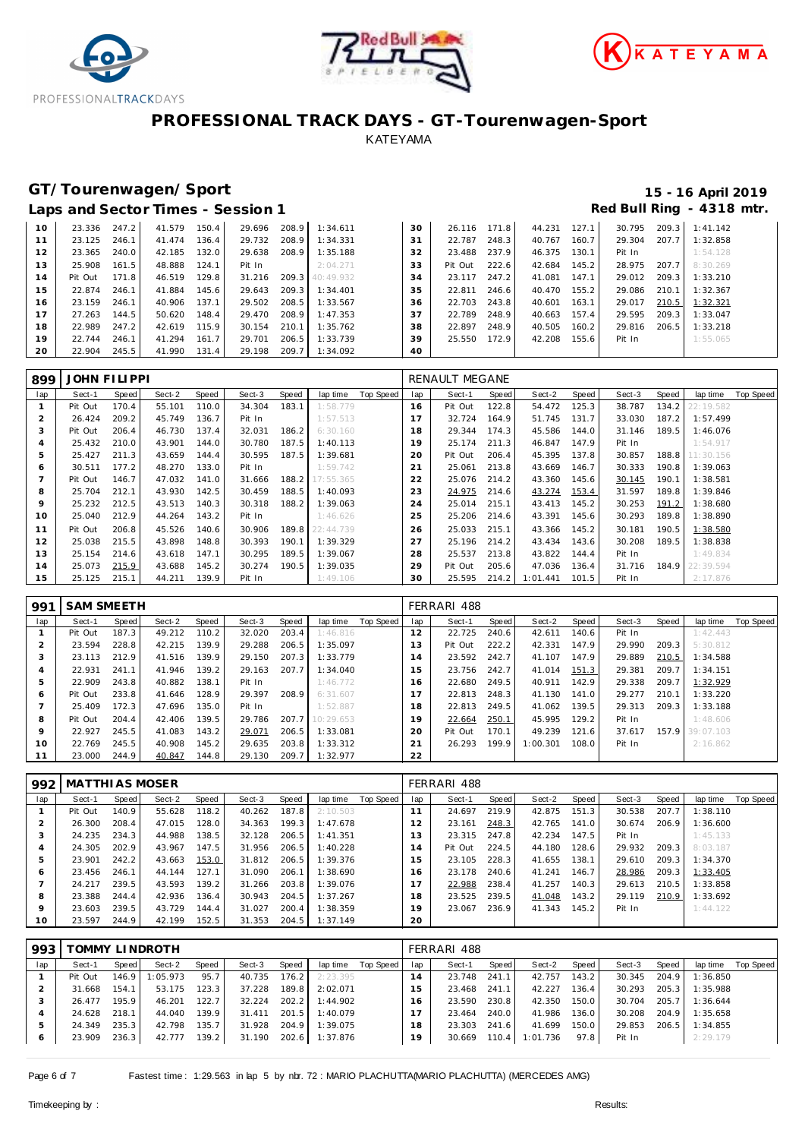





# **GT/Tourenwagen/Sport 15 - 16 April 2019**

|    | Laps and Sector Times - Session 1 |       |        |       |        |       |                 |    |         |       |        |       |        |       | Red Bull Ring - 4318 m |
|----|-----------------------------------|-------|--------|-------|--------|-------|-----------------|----|---------|-------|--------|-------|--------|-------|------------------------|
| 10 | 23.336                            | 247.2 | 41.579 | 150.4 | 29.696 | 208.9 | 1:34.611        | 30 | 26.116  | 171.8 | 44.231 | 127.1 | 30.795 | 209.3 | 1:41.142               |
|    | 23.125                            | 246.1 | 41.474 | 136.4 | 29.732 | 208.9 | 1:34.331        | 31 | 22.787  | 248.3 | 40.767 | 160.7 | 29.304 | 207.7 | 1:32.858               |
| 12 | 23.365                            | 240.0 | 42.185 | 132.0 | 29.638 | 208.9 | 1:35.188        | 32 | 23.488  | 237.9 | 46.375 | 130.1 | Pit In |       | 1:54.128               |
| 13 | 25.908                            | 161.5 | 48.888 | 124.1 | Pit In |       | 2:04.271        | 33 | Pit Out | 222.6 | 42.684 | 145.2 | 28.975 | 207.7 | 8:30.269               |
| 14 | Pit Out                           | 171.8 | 46.519 | 129.8 | 31.216 |       | 209.3 40:49.932 | 34 | 23.117  | 247.2 | 41.081 | 147.1 | 29.012 | 209.3 | 1:33.210               |
| 15 | 22.874                            | 246.1 | 41.884 | 145.6 | 29.643 | 209.3 | 1:34.401        | 35 | 22.811  | 246.6 | 40.470 | 155.2 | 29.086 | 210.1 | 1:32.367               |
| 16 | 23.159                            | 246.1 | 40.906 | 137.1 | 29.502 | 208.5 | 1:33.567        | 36 | 22.703  | 243.8 | 40.601 | 163.1 | 29.017 | 210.5 | 1:32.321               |
| 17 | 27.263                            | 144.5 | 50.620 | 148.4 | 29.470 | 208.9 | 1:47.353        | 37 | 22.789  | 248.9 | 40.663 | 157.4 | 29.595 | 209.3 | 1:33.047               |
| 18 | 22.989                            | 247.2 | 42.619 | 115.9 | 30.154 | 210.1 | 1:35.762        | 38 | 22.897  | 248.9 | 40.505 | 160.2 | 29.816 | 206.5 | 1:33.218               |
| 19 | 22.744                            | 246.1 | 41.294 | 161.7 | 29.701 | 206.5 | 1:33.739        | 39 | 25.550  | 172.9 | 42.208 | 155.6 | Pit In |       | 1:55.065               |
| 20 | 22.904                            | 245.5 | 41.990 | 131.4 | 29.198 | 209.7 | 1:34.092        | 40 |         |       |        |       |        |       |                        |

| 899 | <b>JOHN FILIPPI</b> |       |        |       |        |       |           |           |                | RENAULT MEGANE |       |          |       |        |       |           |                  |
|-----|---------------------|-------|--------|-------|--------|-------|-----------|-----------|----------------|----------------|-------|----------|-------|--------|-------|-----------|------------------|
| lap | Sect-1              | Speed | Sect-2 | Speed | Sect-3 | Speed | lap time  | Top Speed | lap            | Sect-1         | Speed | Sect-2   | Speed | Sect-3 | Speed | lap time  | <b>Top Speed</b> |
|     | Pit Out             | 170.4 | 55.101 | 110.0 | 34.304 | 183.1 | 1:58.779  |           | 16             | Pit Out        | 122.8 | 54.472   | 125.3 | 38.787 | 134.2 | 22:19.582 |                  |
| ∠   | 26.424              | 209.2 | 45.749 | 136.7 | Pit In |       | 1:57.513  |           |                | 32.724         | 164.9 | 51.745   | 131.7 | 33.030 | 187.2 | 1:57.499  |                  |
| 3   | Pit Out             | 206.4 | 46.730 | 137.4 | 32.031 | 186.2 | 6:30.160  |           | 18             | 29.344         | 174.3 | 45.586   | 144.0 | 31.146 | 189.5 | 1:46.076  |                  |
| 4   | 25.432              | 210.0 | 43.901 | 144.0 | 30.780 | 187.5 | 1:40.113  |           | 19             | 25.174         | 211.3 | 46.847   | 147.9 | Pit In |       | 1:54.917  |                  |
| 5   | 25.427              | 211.3 | 43.659 | 144.4 | 30.595 | 187.5 | 1:39.681  |           | 20             | Pit Out        | 206.4 | 45.395   | 137.8 | 30.857 | 188.8 | 11:30.156 |                  |
| 6   | 30.511              | 177.2 | 48.270 | 133.0 | Pit In |       | 1:59.742  |           | 2 <sup>1</sup> | 25.061         | 213.8 | 43.669   | 146.7 | 30.333 | 190.8 | 1:39.063  |                  |
|     | Pit Out             | 146.7 | 47.032 | 141.0 | 31.666 | 188.2 | 17:55.365 |           | 22             | 25.076         | 214.2 | 43.360   | 145.6 | 30.145 | 190.1 | 1:38.581  |                  |
| 8   | 25.704              | 212.1 | 43.930 | 142.5 | 30.459 | 188.5 | 1:40.093  |           | 23             | 24.975         | 214.6 | 43.274   | 153.4 | 31.597 | 189.8 | 1:39.846  |                  |
| 9   | 25.232              | 212.5 | 43.513 | 140.3 | 30.318 | 188.2 | 1:39.063  |           | 24             | 25.014         | 215.1 | 43.413   | 145.2 | 30.253 | 191.2 | 1:38.680  |                  |
| 10  | 25.040              | 212.9 | 44.264 | 143.2 | Pit In |       | 1:46.626  |           | 25             | 25.206         | 214.6 | 43.391   | 145.6 | 30.293 | 189.8 | 1:38.890  |                  |
| 11  | Pit Out             | 206.8 | 45.526 | 140.6 | 30.906 | 189.8 | 22:44.739 |           | 26             | 25.033         | 215.1 | 43.366   | 145.2 | 30.181 | 190.5 | 1:38.580  |                  |
| 12  | 25.038              | 215.5 | 43.898 | 148.8 | 30.393 | 190.1 | 1:39.329  |           | 27             | 25.196         | 214.2 | 43.434   | 143.6 | 30.208 | 189.5 | 1:38.838  |                  |
| 13  | 25.154              | 214.6 | 43.618 | 147.1 | 30.295 | 189.5 | 1:39.067  |           | 28             | 25.537         | 213.8 | 43.822   | 144.4 | Pit In |       | 1:49.834  |                  |
| 14  | 25.073              | 215.9 | 43.688 | 145.2 | 30.274 | 190.5 | 1:39.035  |           | 29             | Pit Out        | 205.6 | 47.036   | 136.4 | 31.716 | 184.9 | 22:39.594 |                  |
| 15  | 25.125              | 215.1 | 44.211 | 139.9 | Pit In |       | 1:49.106  |           | 30             | 25.595         | 214.2 | 1:01.441 | 101.5 | Pit In |       | 2:17.876  |                  |

| 991     | <b>SAM SMEETH</b> |       |        |       |        |       |           |           |                | FERRARI 488 |       |          |       |        |       |                 |           |
|---------|-------------------|-------|--------|-------|--------|-------|-----------|-----------|----------------|-------------|-------|----------|-------|--------|-------|-----------------|-----------|
| lap     | Sect-1            | Speed | Sect-2 | Speed | Sect-3 | Speed | lap time  | Top Speed | lap            | Sect-1      | Speed | Sect-2   | Speed | Sect-3 | Speed | lap time        | Top Speed |
|         | Pit Out           | 187.3 | 49.212 | 110.2 | 32.020 | 203.4 | 1:46.816  |           | 12             | 22.725      | 240.6 | 42.611   | 140.6 | Pit In |       | 1:42.443        |           |
|         | 23.594            | 228.8 | 42.215 | 139.9 | 29.288 | 206.5 | 1:35.097  |           | 13             | Pit Out     | 222.2 | 42.331   | 147.9 | 29.990 | 209.3 | 5:30.812        |           |
| 3       | 23.113            | 212.9 | 41.516 | 139.9 | 29.150 | 207.3 | 1:33.779  |           | $\overline{4}$ | 23.592      | 242.7 | 41.107   | 147.9 | 29.889 | 210.5 | 1:34.588        |           |
| 4       | 22.931            | 241.1 | 41.946 | 139.2 | 29.163 | 207.7 | 1:34.040  |           | 15             | 23.756      | 242.7 | 41.014   | 151.3 | 29.381 | 209.7 | 1:34.151        |           |
| 5       | 22.909            | 243.8 | 40.882 | 138.1 | Pit In |       | 1:46.772  |           | и<br>16        | 22.680      | 249.5 | 40.911   | 142.9 | 29.338 | 209.7 | 1:32.929        |           |
| 6       | Pit Out           | 233.8 | 41.646 | 128.9 | 29.397 | 208.9 | 6:31.607  |           | 17             | 22.813      | 248.3 | 41.130   | 141.0 | 29.277 | 210.1 | 1:33.220        |           |
|         | 25.409            | 172.3 | 47.696 | 135.0 | Pit In |       | 1:52.887  |           | 18             | 22.813      | 249.5 | 41.062   | 139.5 | 29.313 | 209.3 | 1:33.188        |           |
| 8       | Pit Out           | 204.4 | 42.406 | 139.5 | 29.786 | 207.7 | 10:29.653 |           | 19             | 22.664      | 250.1 | 45.995   | 129.2 | Pit In |       | 1:48.606        |           |
| $\circ$ | 22.927            | 245.5 | 41.083 | 143.2 | 29.071 | 206.5 | 1:33.081  |           | 20             | Pit Out     | 170.1 | 49.239   | 121.6 | 37.617 |       | 157.9 39:07.103 |           |
| 10      | 22.769            | 245.5 | 40.908 | 145.2 | 29.635 | 203.8 | 1:33.312  |           | 21             | 26.293      | 199.9 | 1:00.301 | 108.0 | Pit In |       | 2:16.862        |           |
|         | 23.000            | 244.9 | 40.847 | 144.8 | 29.130 | 209.7 | 1:32.977  |           | 22             |             |       |          |       |        |       |                 |           |

| 992     | MATTHI AS MOSER |       |        |       |        |       |          |           |     | FERRARI 488 |       |        |       |        |       |          |           |
|---------|-----------------|-------|--------|-------|--------|-------|----------|-----------|-----|-------------|-------|--------|-------|--------|-------|----------|-----------|
| lap     | Sect-1          | Speed | Sect-2 | Speed | Sect-3 | Speed | lap time | Top Speed | lap | Sect-1      | Speed | Sect-2 | Speed | Sect-3 | Speed | lap time | Top Speed |
|         | Pit Out         | 140.9 | 55.628 | 118.2 | 40.262 | 187.8 | 2:10.503 |           | 11  | 24.697      | 219.9 | 42.875 | 151.3 | 30.538 | 207.7 | 1:38.110 |           |
|         | 26.300          | 208.4 | 47.015 | 128.0 | 34.363 | 199.3 | 1:47.678 |           | 12  | 23.161      | 248.3 | 42.765 | 141.0 | 30.674 | 206.9 | 1:36.600 |           |
| 3       | 24.235          | 234.3 | 44.988 | 138.5 | 32.128 | 206.5 | 1:41.351 |           | 13  | 23.315      | 247.8 | 42.234 | 147.5 | Pit In |       | 1:45.133 |           |
| 4       | 24.305          | 202.9 | 43.967 | 147.5 | 31.956 | 206.5 | 1:40.228 |           | 14  | Pit Out     | 224.5 | 44.180 | 128.6 | 29.932 | 209.3 | 8:03.187 |           |
| 5       | 23.901          | 242.2 | 43.663 | 153.0 | 31.812 | 206.5 | 1:39.376 |           | 15  | 23.105      | 228.3 | 41.655 | 138.1 | 29.610 | 209.3 | 1:34.370 |           |
| 6       | 23.456          | 246.1 | 44.144 | 127.1 | 31.090 | 206.1 | 1:38.690 |           | 16  | 23.178      | 240.6 | 41.241 | 146.7 | 28.986 | 209.3 | 1:33.405 |           |
|         | 24.217          | 239.5 | 43.593 | 139.2 | 31.266 | 203.8 | 1:39.076 |           | 17  | 22.988      | 238.4 | 41.257 | 140.3 | 29.613 | 210.5 | 1:33.858 |           |
| 8       | 23.388          | 244.4 | 42.936 | 136.4 | 30.943 | 204.5 | 1:37.267 |           | 18  | 23.525      | 239.5 | 41.048 | 143.2 | 29.119 | 210.9 | 1:33.692 |           |
| $\circ$ | 23.603          | 239.5 | 43.729 | 144.4 | 31.027 | 200.4 | 1:38.359 |           | 19  | 23.067      | 236.9 | 41.343 | 145.2 | Pit In |       | 1:44.122 |           |
| 10      | 23.597          | 244.9 | 42.199 | 152.5 | 31.353 | 204.5 | 1:37.149 |           | 20  |             |       |        |       |        |       |          |           |

| 993     | TOMMY LINDROTH |       |          |       |        |       |          |           | FERRARI 488    |        |       |          |       |        |       |          |           |
|---------|----------------|-------|----------|-------|--------|-------|----------|-----------|----------------|--------|-------|----------|-------|--------|-------|----------|-----------|
| lap     | Sect-1         | Speed | Sect-2   | Speed | Sect-3 | Speed | lap time | Top Speed | lap            | Sect-1 | Speed | Sect-2   | Speed | Sect-3 | Speed | lap time | Top Speed |
|         | Pit Out        | 146.9 | 1:05.973 | 95.7  | 40.735 | 176.2 | 2:23.395 |           | $\overline{4}$ | 23.748 | 241.1 | 42.757   | 143.2 | 30.345 | 204.9 | 1:36.850 |           |
|         | 31.668         | 154.1 | 53.175   | 123.3 | 37.228 | 189.8 | 2:02.071 |           | 5              | 23.468 | 241.1 | 42.227   | 136.4 | 30.293 | 205.3 | 1:35.988 |           |
| 3       | 26.477         | 195.9 | 46.201   | 122.7 | 32.224 | 202.2 | 1:44.902 |           | 16             | 23.590 | 230.8 | 42.350   | 150.0 | 30.704 | 205.7 | 1:36.644 |           |
|         | 24.628         | 218.1 | 44.040   | 139.9 | 31.411 | 201.5 | 1:40.079 |           |                | 23.464 | 240.0 | 41.986   | 136.0 | 30.208 | 204.9 | 1:35.658 |           |
| ь       | 24.349         | 235.3 | 42.798   | 135.7 | 31.928 | 204.9 | 1:39.075 |           | 18             | 23.303 | 241.6 | 41.699   | 150.0 | 29.853 | 206.5 | 1:34.855 |           |
| $\circ$ | 23.909         | 236.3 | 42.777   | 139.2 | 31.190 | 202.6 | 1:37.876 |           | 19             | 30.669 | 110.4 | 1:01.736 | 97.8  | Pit In |       | 2:29.179 |           |

Page 6 of 7 Fastest time: 1:29.563 in lap 5 by nbr. 72 : MARIO PLACHUTTA(MARIO PLACHUTTA) (MERCEDES AMG)